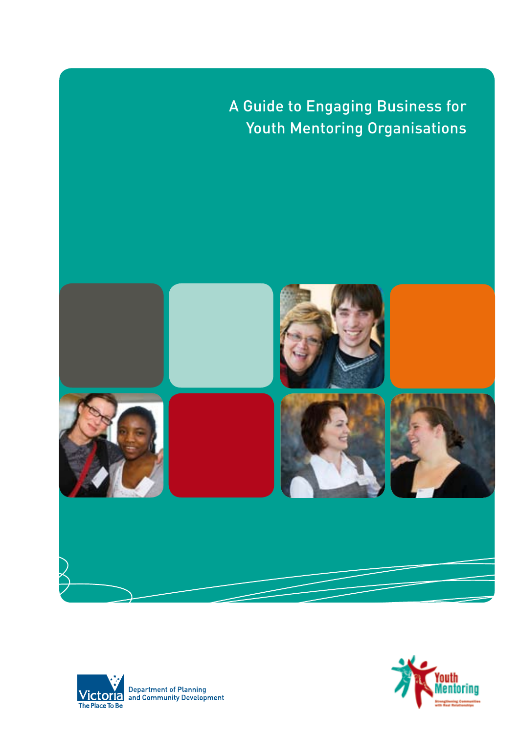A Guide to Engaging Business for Youth Mentoring Organisations





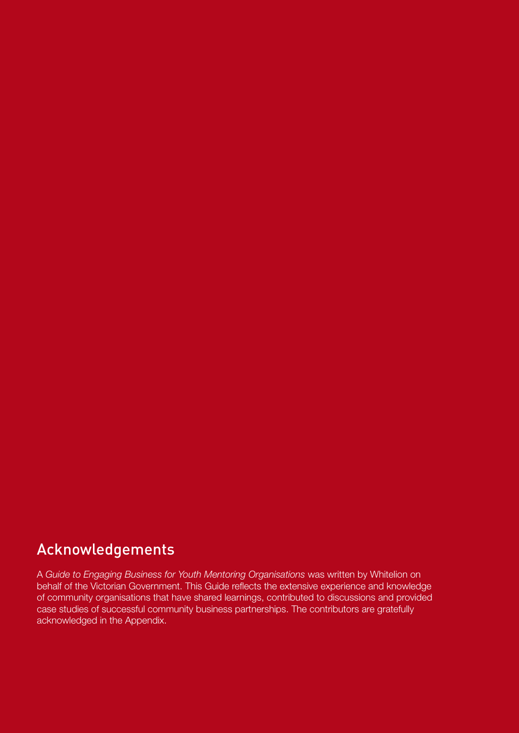# Acknowledgements

A *Guide to Engaging Business for Youth Mentoring Organisations* was written by Whitelion on behalf of the Victorian Government. This Guide reflects the extensive experience and knowledge of community organisations that have shared learnings, contributed to discussions and provided case studies of successful community business partnerships. The contributors are gratefully acknowledged in the Appendix.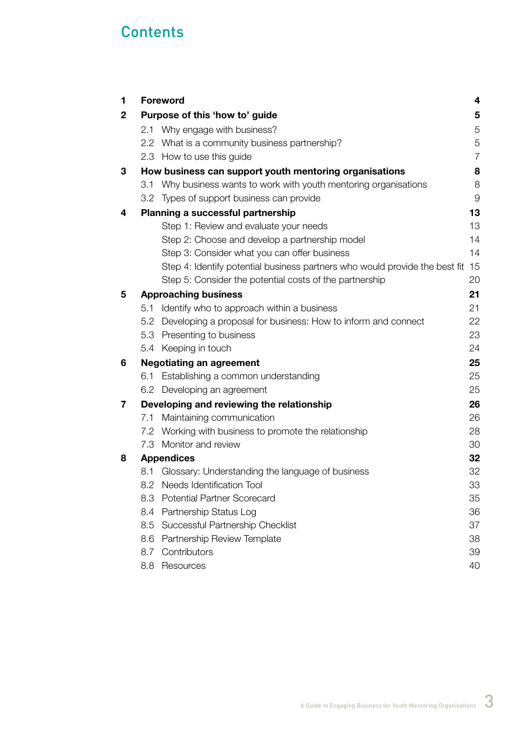# **Contents**

| 1 |     | <b>Foreword</b>                                                             | 4              |
|---|-----|-----------------------------------------------------------------------------|----------------|
| 2 |     | Purpose of this 'how to' guide                                              | 5              |
|   |     | 2.1 Why engage with business?                                               | 5              |
|   |     | 2.2 What is a community business partnership?                               | 5              |
|   |     | 2.3 How to use this guide                                                   | $\overline{7}$ |
| 3 |     | How business can support youth mentoring organisations                      | 8              |
|   |     | 3.1 Why business wants to work with youth mentoring organisations           | 8              |
|   |     | 3.2 Types of support business can provide                                   | 9              |
| 4 |     | Planning a successful partnership                                           | 13             |
|   |     | Step 1: Review and evaluate your needs                                      | 13             |
|   |     | Step 2: Choose and develop a partnership model                              | 14             |
|   |     | Step 3: Consider what you can offer business                                | 14             |
|   |     | Step 4: Identify potential business partners who would provide the best fit | 15             |
|   |     | Step 5: Consider the potential costs of the partnership                     | 20             |
| 5 |     | <b>Approaching business</b>                                                 | 21             |
|   | 5.1 | Identify who to approach within a business                                  | 21             |
|   |     | 5.2 Developing a proposal for business: How to inform and connect           | 22             |
|   |     | 5.3 Presenting to business                                                  | 23             |
|   |     | 5.4 Keeping in touch                                                        | 24             |
| 6 |     | <b>Negotiating an agreement</b>                                             | 25             |
|   |     | 6.1 Establishing a common understanding                                     | 25             |
|   |     | 6.2 Developing an agreement                                                 | 25             |
| 7 |     | Developing and reviewing the relationship                                   | 26             |
|   | 7.1 | Maintaining communication                                                   | 26             |
|   |     | 7.2 Working with business to promote the relationship                       | 28             |
|   |     | 7.3 Monitor and review                                                      | 30             |
| 8 |     | <b>Appendices</b>                                                           | 32             |
|   | 8.1 | Glossary: Understanding the language of business                            | 32             |
|   |     | 8.2 Needs Identification Tool                                               | 33             |
|   | 8.3 | <b>Potential Partner Scorecard</b>                                          | 35             |
|   | 8.4 | Partnership Status Log                                                      | 36             |
|   | 8.5 | Successful Partnership Checklist                                            | 37             |
|   | 8.6 | Partnership Review Template                                                 | 38             |
|   | 8.7 | Contributors                                                                | 39             |
|   | 8.8 | Resources                                                                   | 40             |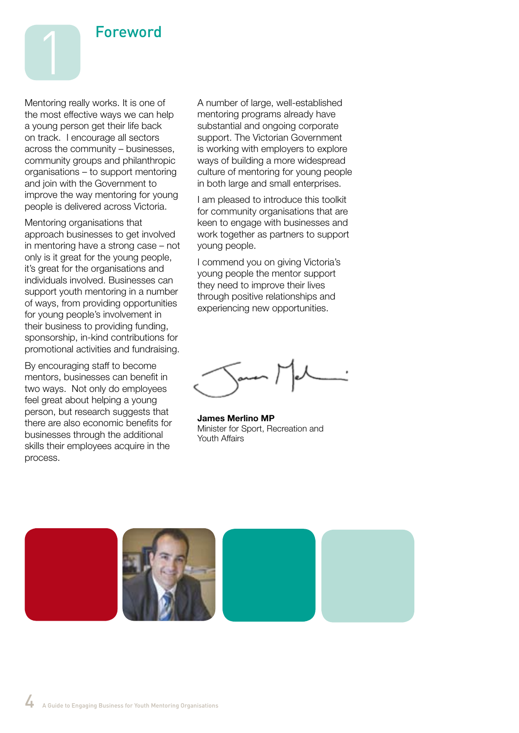

Mentoring really works. It is one of the most effective ways we can help a young person get their life back on track. I encourage all sectors across the community – businesses, community groups and philanthropic organisations – to support mentoring and join with the Government to improve the way mentoring for young people is delivered across Victoria.

Mentoring organisations that approach businesses to get involved in mentoring have a strong case – not only is it great for the young people, it's great for the organisations and individuals involved. Businesses can support youth mentoring in a number of ways, from providing opportunities for young people's involvement in their business to providing funding, sponsorship, in-kind contributions for promotional activities and fundraising.

By encouraging staff to become mentors, businesses can benefit in two ways. Not only do employees feel great about helping a young person, but research suggests that there are also economic benefits for businesses through the additional skills their employees acquire in the process.

A number of large, well-established mentoring programs already have substantial and ongoing corporate support. The Victorian Government is working with employers to explore ways of building a more widespread culture of mentoring for young people in both large and small enterprises.

I am pleased to introduce this toolkit for community organisations that are keen to engage with businesses and work together as partners to support young people.

I commend you on giving Victoria's young people the mentor support they need to improve their lives through positive relationships and experiencing new opportunities.

**James Merlino MP** Minister for Sport, Recreation and Youth Affairs

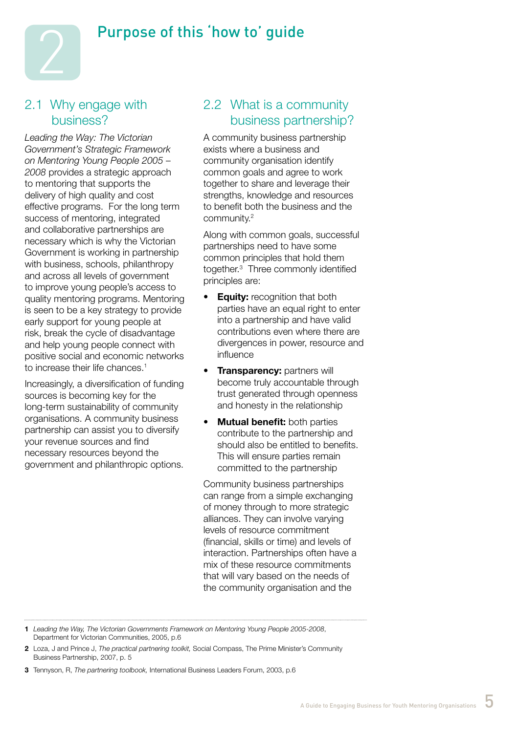# Purpose of this 'how to' guide



#### 2.1 Why engage with business?

*Leading the Way: The Victorian Government's Strategic Framework on Mentoring Young People 2005* – *2008* provides a strategic approach to mentoring that supports the delivery of high quality and cost effective programs. For the long term success of mentoring, integrated and collaborative partnerships are necessary which is why the Victorian Government is working in partnership with business, schools, philanthropy and across all levels of government to improve young people's access to quality mentoring programs. Mentoring is seen to be a key strategy to provide early support for young people at risk, break the cycle of disadvantage and help young people connect with positive social and economic networks to increase their life chances.<sup>1</sup>

Increasingly, a diversification of funding sources is becoming key for the long-term sustainability of community organisations. A community business partnership can assist you to diversify your revenue sources and find necessary resources beyond the government and philanthropic options.

# 2.2 What is a community business partnership?

A community business partnership exists where a business and community organisation identify common goals and agree to work together to share and leverage their strengths, knowledge and resources to benefit both the business and the community.2

Along with common goals, successful partnerships need to have some common principles that hold them together.3 Three commonly identified principles are:

- **Equity:** recognition that both parties have an equal right to enter into a partnership and have valid contributions even where there are divergences in power, resource and influence
- **Transparency: partners will** become truly accountable through trust generated through openness and honesty in the relationship
- **Mutual benefit:** both parties contribute to the partnership and should also be entitled to benefits. This will ensure parties remain committed to the partnership

Community business partnerships can range from a simple exchanging of money through to more strategic alliances. They can involve varying levels of resource commitment (financial, skills or time) and levels of interaction. Partnerships often have a mix of these resource commitments that will vary based on the needs of the community organisation and the

**1** *Leading the Way, The Victorian Governments Framework on Mentoring Young People 2005-2008*, Department for Victorian Communities, 2005, p.6

**<sup>2</sup>** Loza, J and Prince J, *The practical partnering toolkit,* Social Compass, The Prime Minister's Community Business Partnership, 2007, p. 5

**<sup>3</sup>** Tennyson, R, *The partnering toolbook,* International Business Leaders Forum, 2003, p.6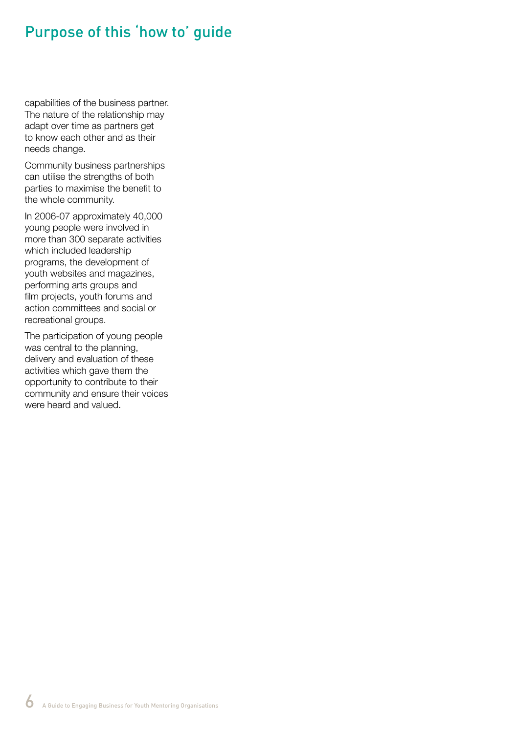# Purpose of this 'how to' guide

capabilities of the business partner. The nature of the relationship may adapt over time as partners get to know each other and as their needs change.

Community business partnerships can utilise the strengths of both parties to maximise the benefit to the whole community.

In 2006-07 approximately 40,000 young people were involved in more than 300 separate activities which included leadership programs, the development of youth websites and magazines, performing arts groups and film projects, youth forums and action committees and social or recreational groups.

The participation of young people was central to the planning, delivery and evaluation of these activities which gave them the opportunity to contribute to their community and ensure their voices were heard and valued.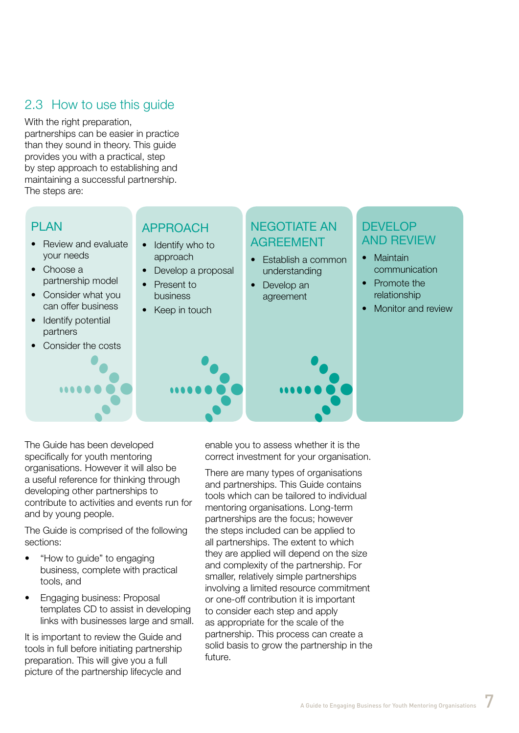# 2.3 How to use this guide

With the right preparation, partnerships can be easier in practice than they sound in theory. This guide provides you with a practical, step by step approach to establishing and maintaining a successful partnership. The steps are:



The Guide has been developed specifically for youth mentoring organisations. However it will also be a useful reference for thinking through developing other partnerships to contribute to activities and events run for and by young people.

The Guide is comprised of the following sections:

- "How to guide" to engaging business, complete with practical tools, and
- **Engaging business: Proposal** templates CD to assist in developing links with businesses large and small.

It is important to review the Guide and tools in full before initiating partnership preparation. This will give you a full picture of the partnership lifecycle and

enable you to assess whether it is the correct investment for your organisation.

There are many types of organisations and partnerships. This Guide contains tools which can be tailored to individual mentoring organisations. Long-term partnerships are the focus; however the steps included can be applied to all partnerships. The extent to which they are applied will depend on the size and complexity of the partnership. For smaller, relatively simple partnerships involving a limited resource commitment or one-off contribution it is important to consider each step and apply as appropriate for the scale of the partnership. This process can create a solid basis to grow the partnership in the future.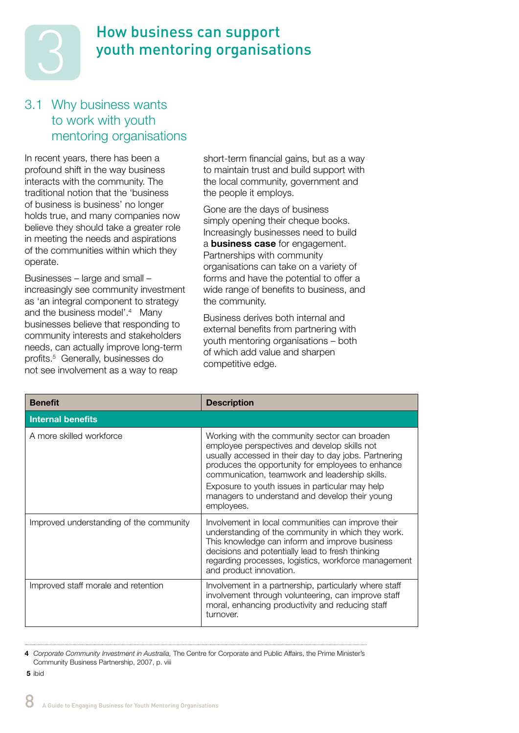

# How business can support youth mentoring organisations

# 3.1 Why business wants to work with youth mentoring organisations

In recent years, there has been a profound shift in the way business interacts with the community. The traditional notion that the 'business of business is business' no longer holds true, and many companies now believe they should take a greater role in meeting the needs and aspirations of the communities within which they operate.

Businesses – large and small – increasingly see community investment as 'an integral component to strategy and the business model'.<sup>4</sup> Many businesses believe that responding to community interests and stakeholders needs, can actually improve long-term profits.5 Generally, businesses do not see involvement as a way to reap

short-term financial gains, but as a way to maintain trust and build support with the local community, government and the people it employs.

Gone are the days of business simply opening their cheque books. Increasingly businesses need to build a **business case** for engagement. Partnerships with community organisations can take on a variety of forms and have the potential to offer a wide range of benefits to business, and the community.

Business derives both internal and external benefits from partnering with youth mentoring organisations – both of which add value and sharpen competitive edge.

| <b>Benefit</b>                          | <b>Description</b>                                                                                                                                                                                                                                                                                |
|-----------------------------------------|---------------------------------------------------------------------------------------------------------------------------------------------------------------------------------------------------------------------------------------------------------------------------------------------------|
| <b>Internal benefits</b>                |                                                                                                                                                                                                                                                                                                   |
| A more skilled workforce                | Working with the community sector can broaden<br>employee perspectives and develop skills not<br>usually accessed in their day to day jobs. Partnering<br>produces the opportunity for employees to enhance<br>communication, teamwork and leadership skills.                                     |
|                                         | Exposure to youth issues in particular may help<br>managers to understand and develop their young<br>employees.                                                                                                                                                                                   |
| Improved understanding of the community | Involvement in local communities can improve their<br>understanding of the community in which they work.<br>This knowledge can inform and improve business<br>decisions and potentially lead to fresh thinking<br>regarding processes, logistics, workforce management<br>and product innovation. |
| Improved staff morale and retention     | Involvement in a partnership, particularly where staff<br>involvement through volunteering, can improve staff<br>moral, enhancing productivity and reducing staff<br>turnover.                                                                                                                    |

**4** *Corporate Community Investment in Australia,* The Centre for Corporate and Public Affairs, the Prime Minister's Community Business Partnership, 2007, p. viii

 **5** ibid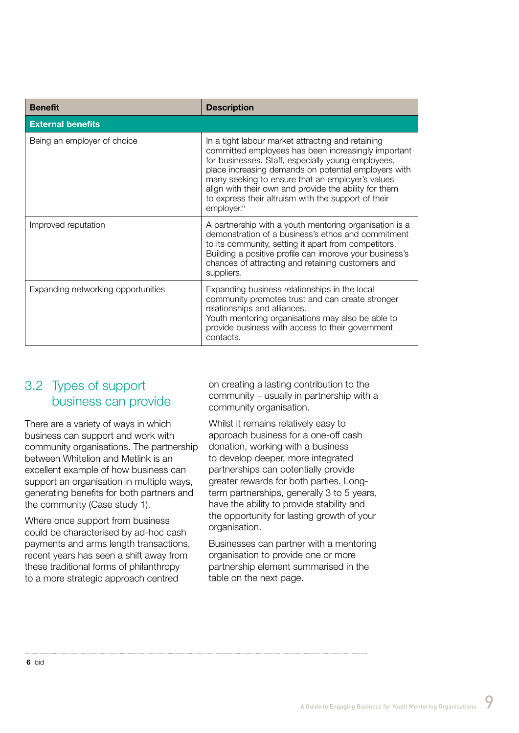| <b>Benefit</b>                     | <b>Description</b>                                                                                                                                                                                                                                                                                                                                                                                                   |
|------------------------------------|----------------------------------------------------------------------------------------------------------------------------------------------------------------------------------------------------------------------------------------------------------------------------------------------------------------------------------------------------------------------------------------------------------------------|
| <b>External benefits</b>           |                                                                                                                                                                                                                                                                                                                                                                                                                      |
| Being an employer of choice        | In a tight labour market attracting and retaining<br>committed employees has been increasingly important<br>for businesses. Staff, especially young employees,<br>place increasing demands on potential employers with<br>many seeking to ensure that an employer's values<br>align with their own and provide the ability for them<br>to express their altruism with the support of their<br>employer. <sup>6</sup> |
| Improved reputation                | A partnership with a youth mentoring organisation is a<br>demonstration of a business's ethos and commitment<br>to its community, setting it apart from competitors.<br>Building a positive profile can improve your business's<br>chances of attracting and retaining customers and<br>suppliers.                                                                                                                   |
| Expanding networking opportunities | Expanding business relationships in the local<br>community promotes trust and can create stronger<br>relationships and alliances.<br>Youth mentoring organisations may also be able to<br>provide business with access to their government<br>contacts.                                                                                                                                                              |

# 3.2 Types of support business can provide

There are a variety of ways in which business can support and work with community organisations. The partnership between Whitelion and Metlink is an excellent example of how business can support an organisation in multiple ways, generating benefits for both partners and the community (Case study 1).

Where once support from business could be characterised by ad-hoc cash payments and arms length transactions, recent years has seen a shift away from these traditional forms of philanthropy to a more strategic approach centred

on creating a lasting contribution to the community – usually in partnership with a community organisation.

Whilst it remains relatively easy to approach business for a one-off cash donation, working with a business to develop deeper, more integrated partnerships can potentially provide greater rewards for both parties. Longterm partnerships, generally 3 to 5 years, have the ability to provide stability and the opportunity for lasting growth of your organisation.

Businesses can partner with a mentoring organisation to provide one or more partnership element summarised in the table on the next page.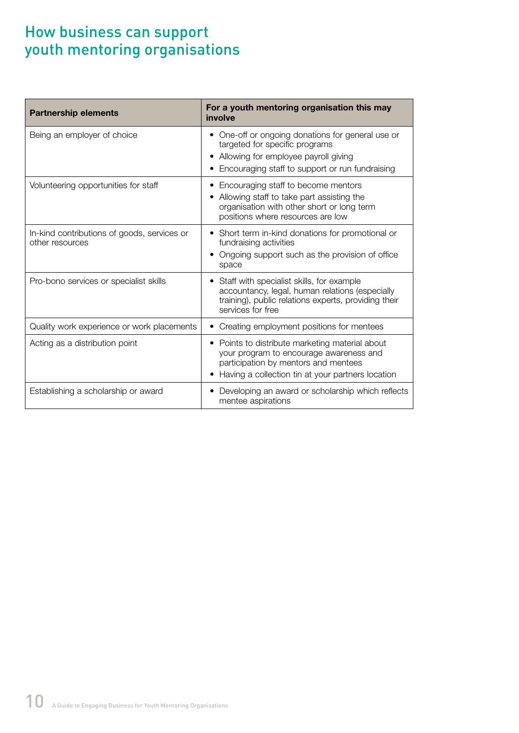# How business can support youth mentoring organisations

| <b>Partnership elements</b>                                    | For a youth mentoring organisation this may<br>involve                                                                                                                                |
|----------------------------------------------------------------|---------------------------------------------------------------------------------------------------------------------------------------------------------------------------------------|
| Being an employer of choice                                    | One-off or ongoing donations for general use or<br>targeted for specific programs<br>Allowing for employee payroll giving<br>Encouraging staff to support or run fundraising          |
| Volunteering opportunities for staff                           | Encouraging staff to become mentors<br>Allowing staff to take part assisting the<br>organisation with other short or long term<br>positions where resources are low                   |
| In-kind contributions of goods, services or<br>other resources | Short term in-kind donations for promotional or<br>fundraising activities<br>Ongoing support such as the provision of office<br>space                                                 |
| Pro-bono services or specialist skills                         | Staff with specialist skills, for example<br>accountancy, legal, human relations (especially<br>training), public relations experts, providing their<br>services for free             |
| Quality work experience or work placements                     | Creating employment positions for mentees                                                                                                                                             |
| Acting as a distribution point                                 | Points to distribute marketing material about<br>your program to encourage awareness and<br>participation by mentors and mentees<br>Having a collection tin at your partners location |
| Establishing a scholarship or award                            | Developing an award or scholarship which reflects<br>mentee aspirations                                                                                                               |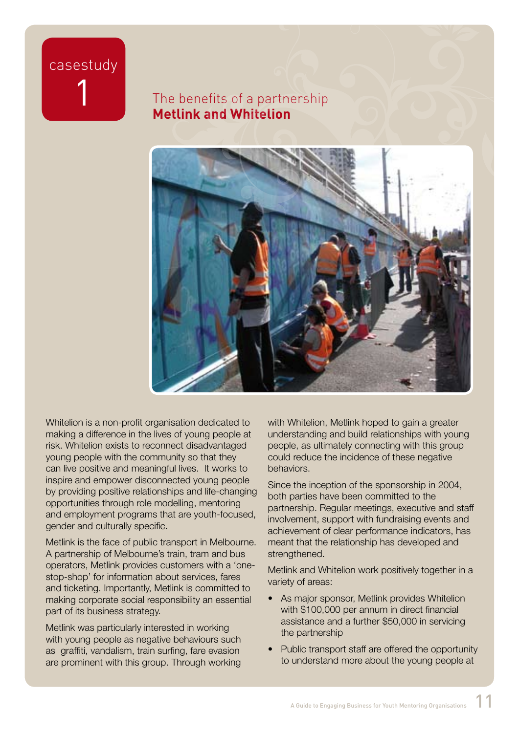# casestudy

# The benefits of a partnership **Metlink and Whitelion**



Whitelion is a non-profit organisation dedicated to making a difference in the lives of young people at risk. Whitelion exists to reconnect disadvantaged young people with the community so that they can live positive and meaningful lives. It works to inspire and empower disconnected young people by providing positive relationships and life-changing opportunities through role modelling, mentoring and employment programs that are youth-focused, gender and culturally specific.

Metlink is the face of public transport in Melbourne. A partnership of Melbourne's train, tram and bus operators, Metlink provides customers with a 'onestop-shop' for information about services, fares and ticketing. Importantly, Metlink is committed to making corporate social responsibility an essential part of its business strategy.

Metlink was particularly interested in working with young people as negative behaviours such as graffiti, vandalism, train surfing, fare evasion are prominent with this group. Through working

with Whitelion, Metlink hoped to gain a greater understanding and build relationships with young people, as ultimately connecting with this group could reduce the incidence of these negative behaviors.

Since the inception of the sponsorship in 2004, both parties have been committed to the partnership. Regular meetings, executive and staff involvement, support with fundraising events and achievement of clear performance indicators, has meant that the relationship has developed and strengthened.

Metlink and Whitelion work positively together in a variety of areas:

- As major sponsor, Metlink provides Whitelion with \$100,000 per annum in direct financial assistance and a further \$50,000 in servicing the partnership
- Public transport staff are offered the opportunity to understand more about the young people at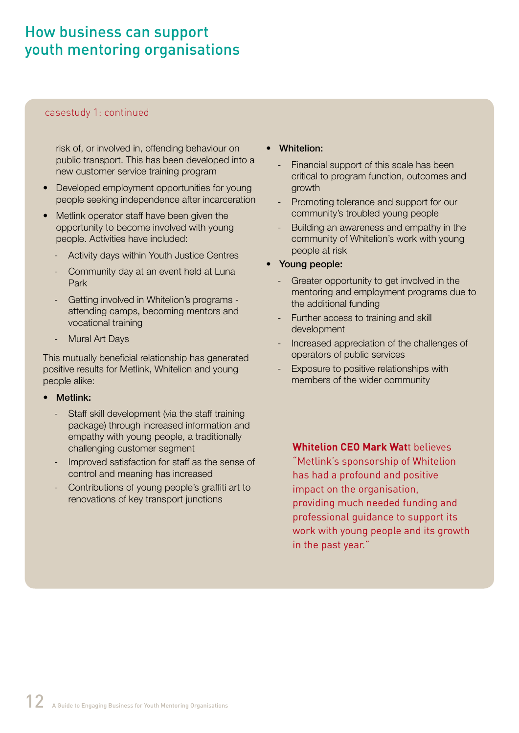# How business can support youth mentoring organisations

#### casestudy 1: continued

risk of, or involved in, offending behaviour on public transport. This has been developed into a new customer service training program

- Developed employment opportunities for young people seeking independence after incarceration
- Metlink operator staff have been given the opportunity to become involved with young people. Activities have included:
	- Activity days within Youth Justice Centres
	- Community day at an event held at Luna Park
	- Getting involved in Whitelion's programs attending camps, becoming mentors and vocational training
	- Mural Art Days

This mutually beneficial relationship has generated positive results for Metlink, Whitelion and young people alike:

- Metlink:
	- Staff skill development (via the staff training package) through increased information and empathy with young people, a traditionally challenging customer segment
	- Improved satisfaction for staff as the sense of control and meaning has increased
	- Contributions of young people's graffiti art to renovations of key transport junctions
- **Whitelion:** 
	- Financial support of this scale has been critical to program function, outcomes and growth
	- Promoting tolerance and support for our community's troubled young people
	- Building an awareness and empathy in the community of Whitelion's work with young people at risk
- Young people:
	- Greater opportunity to get involved in the mentoring and employment programs due to the additional funding
	- Further access to training and skill development
	- Increased appreciation of the challenges of operators of public services
	- Exposure to positive relationships with members of the wider community

**Whitelion CEO Mark Wat**t believes "Metlink's sponsorship of Whitelion has had a profound and positive impact on the organisation, providing much needed funding and professional guidance to support its work with young people and its growth in the past year."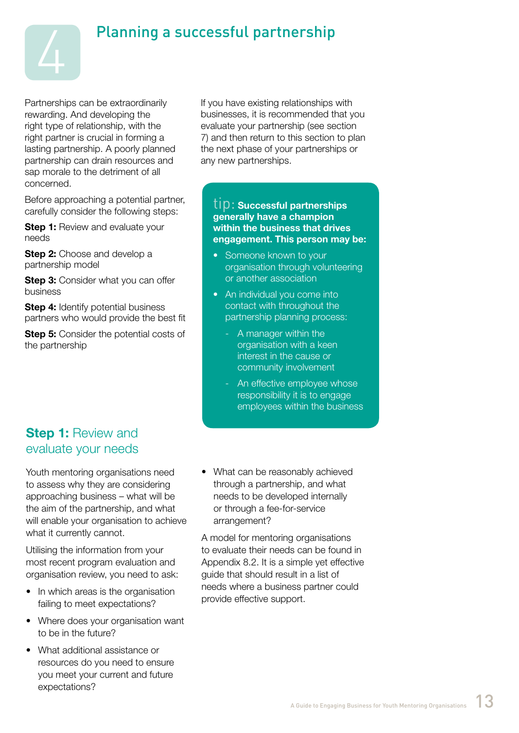

# Planning a successful partnership

Partnerships can be extraordinarily rewarding. And developing the right type of relationship, with the right partner is crucial in forming a lasting partnership. A poorly planned partnership can drain resources and sap morale to the detriment of all concerned.

Before approaching a potential partner, carefully consider the following steps:

**Step 1:** Review and evaluate your needs

**Step 2:** Choose and develop a partnership model

**Step 3: Consider what you can offer** business

**Step 4:** Identify potential business partners who would provide the best fit

**Step 5:** Consider the potential costs of the partnership

If you have existing relationships with businesses, it is recommended that you evaluate your partnership (see section 7) and then return to this section to plan the next phase of your partnerships or any new partnerships.

#### tip: **Successful partnerships generally have a champion within the business that drives engagement. This person may be:**

- Someone known to your organisation through volunteering or another association
- An individual you come into contact with throughout the partnership planning process:
	- A manager within the organisation with a keen interest in the cause or community involvement
	- An effective employee whose responsibility it is to engage employees within the business

# **Step 1: Review and** evaluate your needs

Youth mentoring organisations need to assess why they are considering approaching business – what will be the aim of the partnership, and what will enable your organisation to achieve what it currently cannot.

Utilising the information from your most recent program evaluation and organisation review, you need to ask:

- In which areas is the organisation failing to meet expectations?
- Where does your organisation want to be in the future?
- What additional assistance or resources do you need to ensure you meet your current and future expectations?

• What can be reasonably achieved through a partnership, and what needs to be developed internally or through a fee-for-service arrangement?

A model for mentoring organisations to evaluate their needs can be found in Appendix 8.2. It is a simple yet effective guide that should result in a list of needs where a business partner could provide effective support.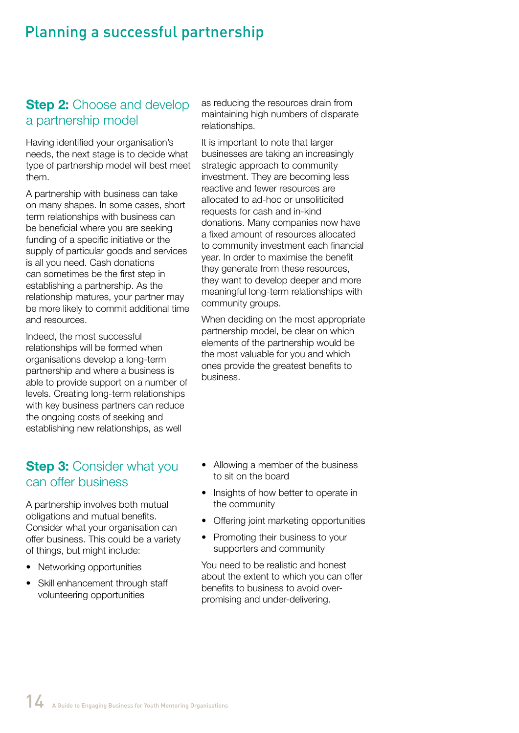# Planning a successful partnership

# **Step 2:** Choose and develop a partnership model

Having identified your organisation's needs, the next stage is to decide what type of partnership model will best meet them.

A partnership with business can take on many shapes. In some cases, short term relationships with business can be beneficial where you are seeking funding of a specific initiative or the supply of particular goods and services is all you need. Cash donations can sometimes be the first step in establishing a partnership. As the relationship matures, your partner may be more likely to commit additional time and resources.

Indeed, the most successful relationships will be formed when organisations develop a long-term partnership and where a business is able to provide support on a number of levels. Creating long-term relationships with key business partners can reduce the ongoing costs of seeking and establishing new relationships, as well

# **Step 3: Consider what you** can offer business

A partnership involves both mutual obligations and mutual benefits. Consider what your organisation can offer business. This could be a variety of things, but might include:

- Networking opportunities
- Skill enhancement through staff volunteering opportunities

as reducing the resources drain from maintaining high numbers of disparate relationships.

It is important to note that larger businesses are taking an increasingly strategic approach to community investment. They are becoming less reactive and fewer resources are allocated to ad-hoc or unsoliticited requests for cash and in-kind donations. Many companies now have a fixed amount of resources allocated to community investment each financial year. In order to maximise the benefit they generate from these resources, they want to develop deeper and more meaningful long-term relationships with community groups.

When deciding on the most appropriate partnership model, be clear on which elements of the partnership would be the most valuable for you and which ones provide the greatest benefits to business.

- Allowing a member of the business to sit on the board
- Insights of how better to operate in the community
- Offering joint marketing opportunities
- Promoting their business to your supporters and community

You need to be realistic and honest about the extent to which you can offer benefits to business to avoid overpromising and under-delivering.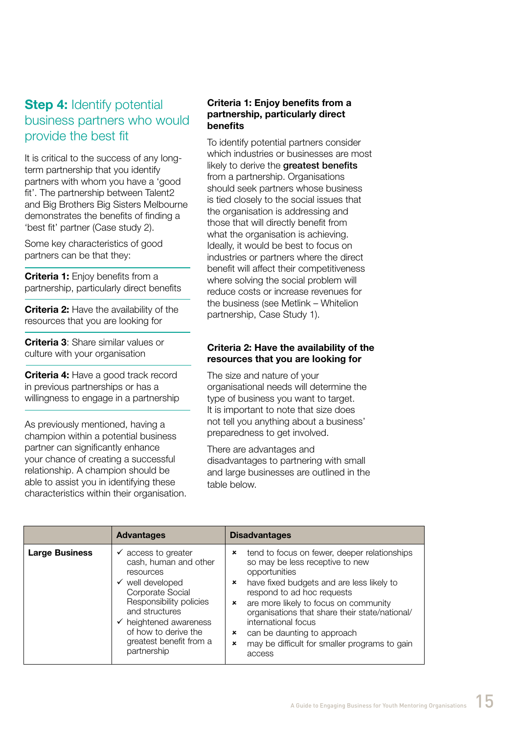# **Step 4: Identify potential** business partners who would provide the best fit

It is critical to the success of any longterm partnership that you identify partners with whom you have a 'good fit'. The partnership between Talent2 and Big Brothers Big Sisters Melbourne demonstrates the benefits of finding a 'best fit' partner (Case study 2).

Some key characteristics of good partners can be that they:

**Criteria 1:** Enjoy benefits from a partnership, particularly direct benefits

**Criteria 2:** Have the availability of the resources that you are looking for

**Criteria 3**: Share similar values or culture with your organisation

**Criteria 4:** Have a good track record in previous partnerships or has a willingness to engage in a partnership

As previously mentioned, having a champion within a potential business partner can significantly enhance your chance of creating a successful relationship. A champion should be able to assist you in identifying these characteristics within their organisation.

#### **Criteria 1: Enjoy benefits from a partnership, particularly direct benefits**

To identify potential partners consider which industries or businesses are most likely to derive the greatest benefits from a partnership. Organisations should seek partners whose business is tied closely to the social issues that the organisation is addressing and those that will directly benefit from what the organisation is achieving. Ideally, it would be best to focus on industries or partners where the direct benefit will affect their competitiveness where solving the social problem will reduce costs or increase revenues for the business (see Metlink – Whitelion partnership, Case Study 1).

#### **Criteria 2: Have the availability of the resources that you are looking for**

The size and nature of your organisational needs will determine the type of business you want to target. It is important to note that size does not tell you anything about a business' preparedness to get involved.

There are advantages and disadvantages to partnering with small and large businesses are outlined in the table below.

|                       | <b>Advantages</b>                                                                                                                                                                                                                                                           | <b>Disadvantages</b>                                                                                                                                                                                                                                                                                                                                                                                                                                             |
|-----------------------|-----------------------------------------------------------------------------------------------------------------------------------------------------------------------------------------------------------------------------------------------------------------------------|------------------------------------------------------------------------------------------------------------------------------------------------------------------------------------------------------------------------------------------------------------------------------------------------------------------------------------------------------------------------------------------------------------------------------------------------------------------|
| <b>Large Business</b> | $\checkmark$ access to greater<br>cash, human and other<br>resources<br>$\checkmark$ well developed<br>Corporate Social<br>Responsibility policies<br>and structures<br>$\checkmark$ heightened awareness<br>of how to derive the<br>greatest benefit from a<br>partnership | tend to focus on fewer, deeper relationships<br>×<br>so may be less receptive to new<br>opportunities<br>have fixed budgets and are less likely to<br>$\boldsymbol{\mathsf{x}}$<br>respond to ad hoc requests<br>are more likely to focus on community<br>$\boldsymbol{\mathsf{x}}$<br>organisations that share their state/national/<br>international focus<br>can be daunting to approach<br>×<br>may be difficult for smaller programs to gain<br>×<br>access |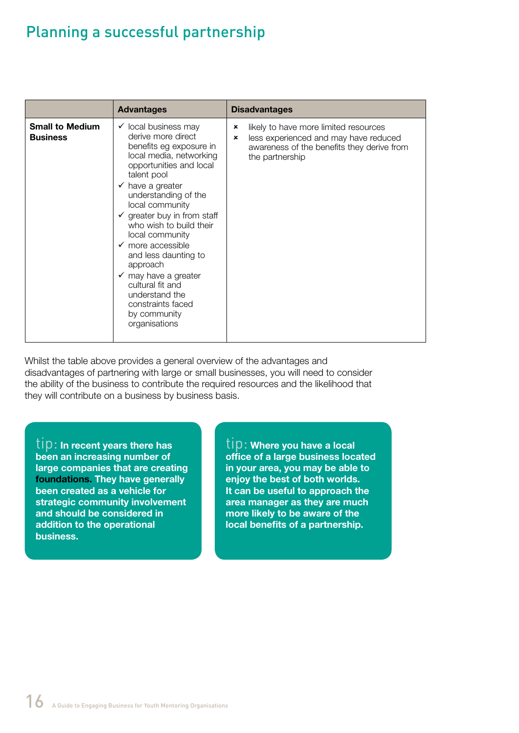# Planning a successful partnership

|                                           | <b>Advantages</b>                                                                                                                                                                                                                                                                                                                                                                                                                                                                                                          | <b>Disadvantages</b>                                                                                                                                                   |
|-------------------------------------------|----------------------------------------------------------------------------------------------------------------------------------------------------------------------------------------------------------------------------------------------------------------------------------------------------------------------------------------------------------------------------------------------------------------------------------------------------------------------------------------------------------------------------|------------------------------------------------------------------------------------------------------------------------------------------------------------------------|
| <b>Small to Medium</b><br><b>Business</b> | $\checkmark$ local business may<br>derive more direct<br>benefits eg exposure in<br>local media, networking<br>opportunities and local<br>talent pool<br>$\checkmark$ have a greater<br>understanding of the<br>local community<br>$\checkmark$ greater buy in from staff<br>who wish to build their<br>local community<br>$\checkmark$ more accessible<br>and less daunting to<br>approach<br>$\checkmark$ may have a greater<br>cultural fit and<br>understand the<br>constraints faced<br>by community<br>organisations | likely to have more limited resources<br>×<br>less experienced and may have reduced<br>$\pmb{\times}$<br>awareness of the benefits they derive from<br>the partnership |

Whilst the table above provides a general overview of the advantages and disadvantages of partnering with large or small businesses, you will need to consider the ability of the business to contribute the required resources and the likelihood that they will contribute on a business by business basis.

tip: **In recent years there has been an increasing number of large companies that are creating foundations. They have generally been created as a vehicle for strategic community involvement and should be considered in addition to the operational business.**

tip: **Where you have a local office of a large business located in your area, you may be able to enjoy the best of both worlds. It can be useful to approach the area manager as they are much more likely to be aware of the local benefits of a partnership.**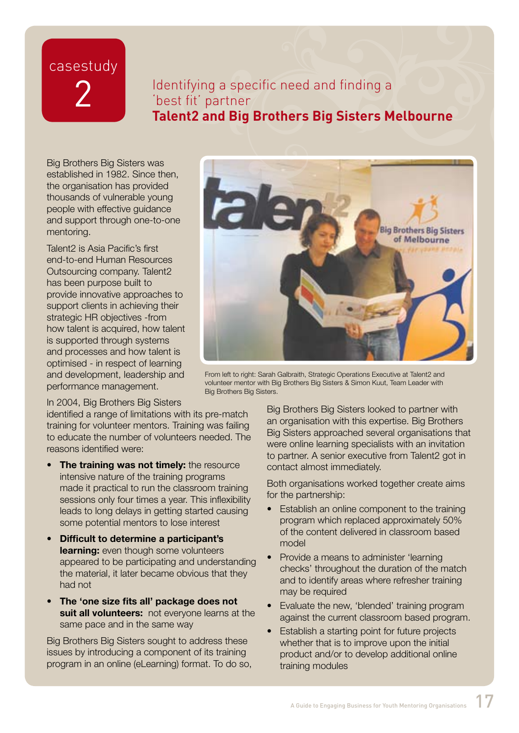# casestudy 2

# Identifying a specific need and finding a 'best fit' partner **Talent2 and Big Brothers Big Sisters Melbourne**

Big Brothers Big Sisters was established in 1982. Since then, the organisation has provided thousands of vulnerable young people with effective guidance and support through one-to-one mentoring.

17 Talent2 is Asia Pacific's first end-to-end Human Resources Outsourcing company. Talent2 has been purpose built to provide innovative approaches to support clients in achieving their strategic HR objectives -from how talent is acquired, how talent is supported through systems and processes and how talent is optimised - in respect of learning and development, leadership and performance management.



From left to right: Sarah Galbraith, Strategic Operations Executive at Talent2 and volunteer mentor with Big Brothers Big Sisters & Simon Kuut, Team Leader with Big Brothers Big Sisters.

#### In 2004, Big Brothers Big Sisters

identified a range of limitations with its pre-match training for volunteer mentors. Training was failing to educate the number of volunteers needed. The reasons identified were:

- **The training was not timely:** the resource intensive nature of the training programs made it practical to run the classroom training sessions only four times a year. This inflexibility leads to long delays in getting started causing some potential mentors to lose interest
- **Difficult to determine a participant's learning:** even though some volunteers appeared to be participating and understanding the material, it later became obvious that they had not
- **The 'one size fits all' package does not suit all volunteers:** not everyone learns at the same pace and in the same way

Big Brothers Big Sisters sought to address these issues by introducing a component of its training program in an online (eLearning) format. To do so,

Big Brothers Big Sisters looked to partner with an organisation with this expertise. Big Brothers Big Sisters approached several organisations that were online learning specialists with an invitation to partner. A senior executive from Talent2 got in contact almost immediately.

Both organisations worked together create aims for the partnership:

- Establish an online component to the training program which replaced approximately 50% of the content delivered in classroom based model
- Provide a means to administer 'learning' checks' throughout the duration of the match and to identify areas where refresher training may be required
- Evaluate the new, 'blended' training program against the current classroom based program.
- Establish a starting point for future projects whether that is to improve upon the initial product and/or to develop additional online training modules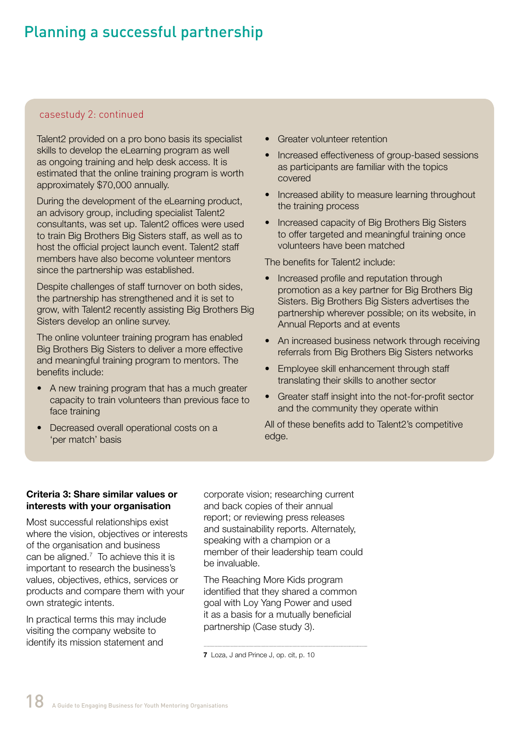# Planning a successful partnership

#### casestudy 2: continued

Talent2 provided on a pro bono basis its specialist skills to develop the eLearning program as well as ongoing training and help desk access. It is estimated that the online training program is worth approximately \$70,000 annually.

During the development of the eLearning product, an advisory group, including specialist Talent2 consultants, was set up. Talent2 offices were used to train Big Brothers Big Sisters staff, as well as to host the official project launch event. Talent2 staff members have also become volunteer mentors since the partnership was established.

Despite challenges of staff turnover on both sides, the partnership has strengthened and it is set to grow, with Talent2 recently assisting Big Brothers Big Sisters develop an online survey.

The online volunteer training program has enabled Big Brothers Big Sisters to deliver a more effective and meaningful training program to mentors. The benefits include:

- A new training program that has a much greater capacity to train volunteers than previous face to face training
- Decreased overall operational costs on a 'per match' basis
- **Greater volunteer retention**
- Increased effectiveness of group-based sessions as participants are familiar with the topics covered
- Increased ability to measure learning throughout the training process
- Increased capacity of Big Brothers Big Sisters to offer targeted and meaningful training once volunteers have been matched

The benefits for Talent2 include:

- Increased profile and reputation through promotion as a key partner for Big Brothers Big Sisters. Big Brothers Big Sisters advertises the partnership wherever possible; on its website, in Annual Reports and at events
- An increased business network through receiving referrals from Big Brothers Big Sisters networks
- Employee skill enhancement through staff translating their skills to another sector
- Greater staff insight into the not-for-profit sector and the community they operate within

All of these benefits add to Talent2's competitive edge.

#### **Criteria 3: Share similar values or interests with your organisation**

Most successful relationships exist where the vision, objectives or interests of the organisation and business can be aligned. $<sup>7</sup>$  To achieve this it is</sup> important to research the business's values, objectives, ethics, services or products and compare them with your own strategic intents.

In practical terms this may include visiting the company website to identify its mission statement and

corporate vision; researching current and back copies of their annual report; or reviewing press releases and sustainability reports. Alternately, speaking with a champion or a member of their leadership team could be invaluable.

The Reaching More Kids program identified that they shared a common goal with Loy Yang Power and used it as a basis for a mutually beneficial partnership (Case study 3).

**<sup>7</sup>** Loza, J and Prince J, op. cit, p. 10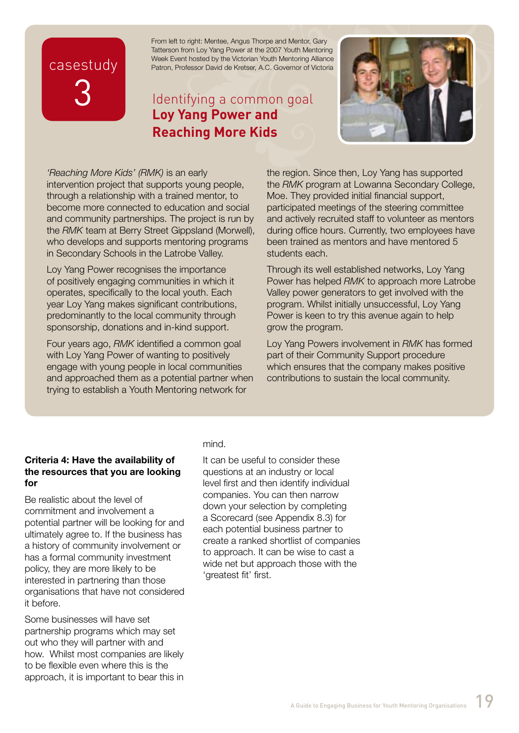# casestudy 3

From left to right: Mentee, Angus Thorpe and Mentor, Gary Tatterson from Loy Yang Power at the 2007 Youth Mentoring Week Event hosted by the Victorian Youth Mentoring Alliance Patron, Professor David de Kretser, A.C. Governor of Victoria

# Identifying a common goal **Loy Yang Power and Reaching More Kids**



who develops and supports mentoring programs<br>in Secondary Schools in the Latrabe Valley *'Reaching More Kids' (RMK)* is an early intervention project that supports young people, through a relationship with a trained mentor, to become more connected to education and social and community partnerships. The project is run by the *RMK* team at Berry Street Gippsland (Morwell), in Secondary Schools in the Latrobe Valley.

Loy Yang Power recognises the importance of positively engaging communities in which it operates, specifically to the local youth. Each year Loy Yang makes significant contributions, predominantly to the local community through sponsorship, donations and in-kind support.

Four years ago, *RMK* identified a common goal with Loy Yang Power of wanting to positively engage with young people in local communities and approached them as a potential partner when trying to establish a Youth Mentoring network for

the region. Since then, Loy Yang has supported the *RMK* program at Lowanna Secondary College, Moe. They provided initial financial support, participated meetings of the steering committee and actively recruited staff to volunteer as mentors during office hours. Currently, two employees have been trained as mentors and have mentored 5 students each.

Through its well established networks, Loy Yang Power has helped *RMK* to approach more Latrobe Valley power generators to get involved with the program. Whilst initially unsuccessful, Loy Yang Power is keen to try this avenue again to help grow the program.

Loy Yang Powers involvement in *RMK* has formed part of their Community Support procedure which ensures that the company makes positive contributions to sustain the local community.

#### **Criteria 4: Have the availability of the resources that you are looking for**

Be realistic about the level of commitment and involvement a potential partner will be looking for and ultimately agree to. If the business has a history of community involvement or has a formal community investment policy, they are more likely to be interested in partnering than those organisations that have not considered it before.

Some businesses will have set partnership programs which may set out who they will partner with and how. Whilst most companies are likely to be flexible even where this is the approach, it is important to bear this in

#### mind.

It can be useful to consider these questions at an industry or local level first and then identify individual companies. You can then narrow down your selection by completing a Scorecard (see Appendix 8.3) for each potential business partner to create a ranked shortlist of companies to approach. It can be wise to cast a wide net but approach those with the 'greatest fit' first.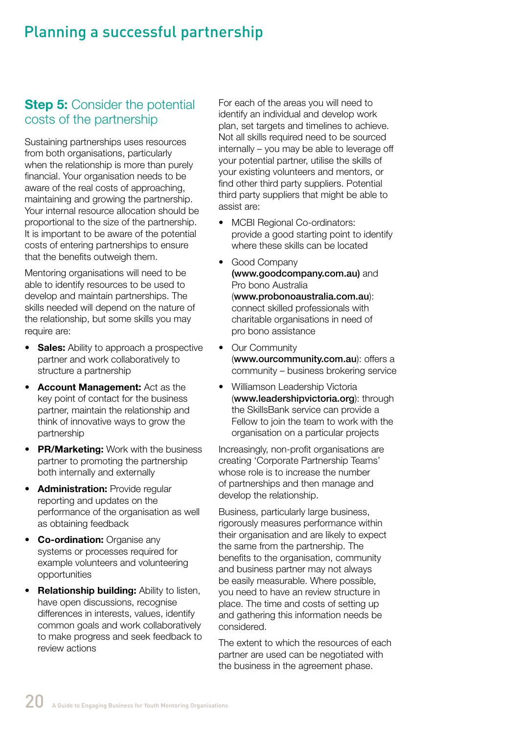# Planning a successful partnership

### **Step 5: Consider the potential** costs of the partnership

Sustaining partnerships uses resources from both organisations, particularly when the relationship is more than purely financial. Your organisation needs to be aware of the real costs of approaching, maintaining and growing the partnership. Your internal resource allocation should be proportional to the size of the partnership. It is important to be aware of the potential costs of entering partnerships to ensure that the benefits outweigh them.

Mentoring organisations will need to be able to identify resources to be used to develop and maintain partnerships. The skills needed will depend on the nature of the relationship, but some skills you may require are:

- • **Sales:** Ability to approach a prospective partner and work collaboratively to structure a partnership
- • **Account Management:** Act as the key point of contact for the business partner, maintain the relationship and think of innovative ways to grow the partnership
- **PR/Marketing:** Work with the business partner to promoting the partnership both internally and externally
- **Administration:** Provide regular reporting and updates on the performance of the organisation as well as obtaining feedback
- **Co-ordination: Organise any** systems or processes required for example volunteers and volunteering opportunities
- **Relationship building: Ability to listen,** have open discussions, recognise differences in interests, values, identify common goals and work collaboratively to make progress and seek feedback to review actions

For each of the areas you will need to identify an individual and develop work plan, set targets and timelines to achieve. Not all skills required need to be sourced internally – you may be able to leverage off your potential partner, utilise the skills of your existing volunteers and mentors, or find other third party suppliers. Potential third party suppliers that might be able to assist are:

- MCBI Regional Co-ordinators: provide a good starting point to identify where these skills can be located
- Good Company (www.goodcompany.com.au) and Pro bono Australia (www.probonoaustralia.com.au): connect skilled professionals with charitable organisations in need of pro bono assistance
- Our Community (www.ourcommunity.com.au): offers a community – business brokering service
- • Williamson Leadership Victoria (www.leadershipvictoria.org): through the SkillsBank service can provide a Fellow to join the team to work with the organisation on a particular projects

Increasingly, non-profit organisations are creating 'Corporate Partnership Teams' whose role is to increase the number of partnerships and then manage and develop the relationship.

Business, particularly large business, rigorously measures performance within their organisation and are likely to expect the same from the partnership. The benefits to the organisation, community and business partner may not always be easily measurable. Where possible, you need to have an review structure in place. The time and costs of setting up and gathering this information needs be considered.

The extent to which the resources of each partner are used can be negotiated with the business in the agreement phase.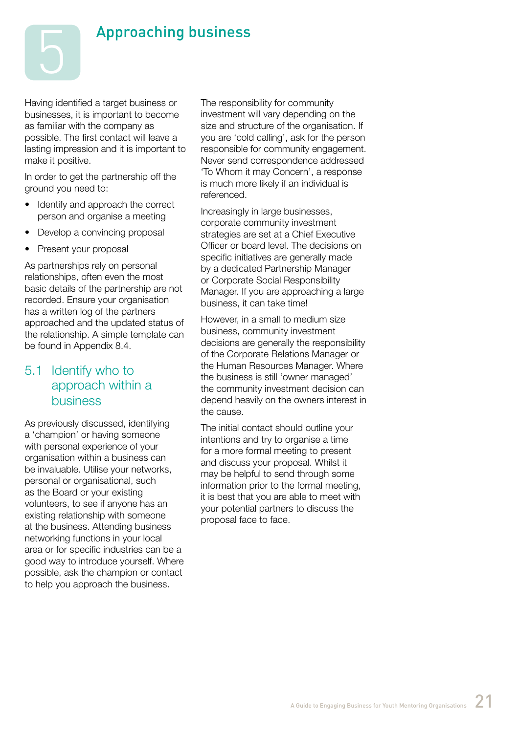

# Approaching business

Having identified a target business or businesses, it is important to become as familiar with the company as possible. The first contact will leave a lasting impression and it is important to make it positive.

In order to get the partnership off the ground you need to:

- Identify and approach the correct person and organise a meeting
- Develop a convincing proposal
- Present your proposal

As partnerships rely on personal relationships, often even the most basic details of the partnership are not recorded. Ensure your organisation has a written log of the partners approached and the updated status of the relationship. A simple template can be found in Appendix 8.4.

### 5.1 Identify who to approach within a business

As previously discussed, identifying a 'champion' or having someone with personal experience of your organisation within a business can be invaluable. Utilise your networks, personal or organisational, such as the Board or your existing volunteers, to see if anyone has an existing relationship with someone at the business. Attending business networking functions in your local area or for specific industries can be a good way to introduce yourself. Where possible, ask the champion or contact to help you approach the business.

The responsibility for community investment will vary depending on the size and structure of the organisation. If you are 'cold calling', ask for the person responsible for community engagement. Never send correspondence addressed 'To Whom it may Concern', a response is much more likely if an individual is referenced.

Increasingly in large businesses, corporate community investment strategies are set at a Chief Executive Officer or board level. The decisions on specific initiatives are generally made by a dedicated Partnership Manager or Corporate Social Responsibility Manager. If you are approaching a large business, it can take time!

However, in a small to medium size business, community investment decisions are generally the responsibility of the Corporate Relations Manager or the Human Resources Manager. Where the business is still 'owner managed' the community investment decision can depend heavily on the owners interest in the cause.

The initial contact should outline your intentions and try to organise a time for a more formal meeting to present and discuss your proposal. Whilst it may be helpful to send through some information prior to the formal meeting, it is best that you are able to meet with your potential partners to discuss the proposal face to face.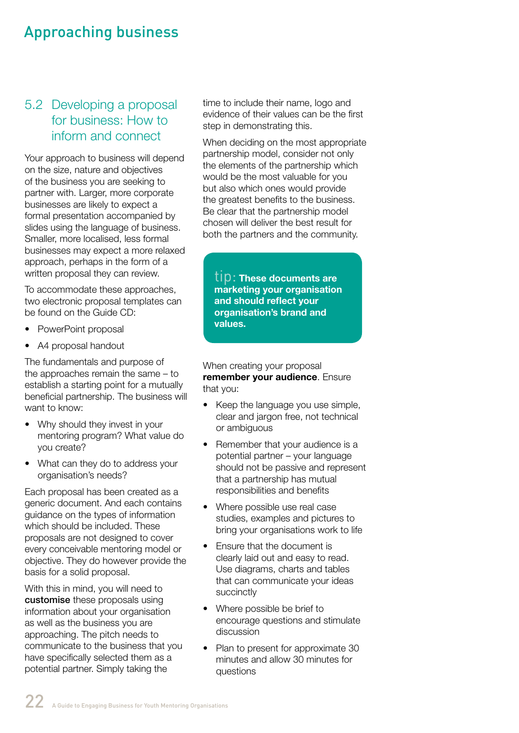# Approaching business

# 5.2 Developing a proposal for business: How to inform and connect

Your approach to business will depend on the size, nature and objectives of the business you are seeking to partner with. Larger, more corporate businesses are likely to expect a formal presentation accompanied by slides using the language of business. Smaller, more localised, less formal businesses may expect a more relaxed approach, perhaps in the form of a written proposal they can review.

To accommodate these approaches, two electronic proposal templates can be found on the Guide CD:

- PowerPoint proposal
- A4 proposal handout

The fundamentals and purpose of the approaches remain the same – to establish a starting point for a mutually beneficial partnership. The business will want to know:

- Why should they invest in your mentoring program? What value do you create?
- What can they do to address your organisation's needs?

Each proposal has been created as a generic document. And each contains guidance on the types of information which should be included. These proposals are not designed to cover every conceivable mentoring model or objective. They do however provide the basis for a solid proposal.

With this in mind, you will need to customise these proposals using information about your organisation as well as the business you are approaching. The pitch needs to communicate to the business that you have specifically selected them as a potential partner. Simply taking the

time to include their name, logo and evidence of their values can be the first step in demonstrating this.

When deciding on the most appropriate partnership model, consider not only the elements of the partnership which would be the most valuable for you but also which ones would provide the greatest benefits to the business. Be clear that the partnership model chosen will deliver the best result for both the partners and the community.

tip: **These documents are marketing your organisation and should reflect your organisation's brand and values.**

When creating your proposal **remember your audience**. Ensure that you:

- Keep the language you use simple, clear and jargon free, not technical or ambiguous
- Remember that your audience is a potential partner – your language should not be passive and represent that a partnership has mutual responsibilities and benefits
- Where possible use real case studies, examples and pictures to bring your organisations work to life
- Ensure that the document is clearly laid out and easy to read. Use diagrams, charts and tables that can communicate your ideas succinctly
- Where possible be brief to encourage questions and stimulate discussion
- Plan to present for approximate 30 minutes and allow 30 minutes for questions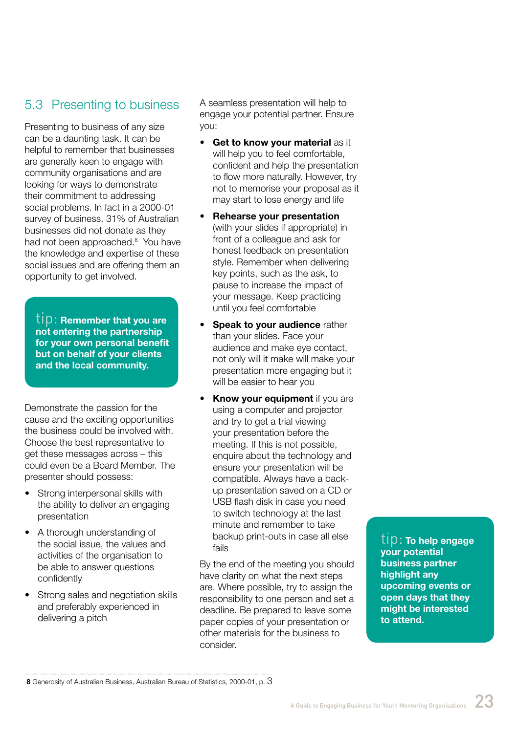# 5.3 Presenting to business

Presenting to business of any size can be a daunting task. It can be helpful to remember that businesses are generally keen to engage with community organisations and are looking for ways to demonstrate their commitment to addressing social problems. In fact in a 2000-01 survey of business, 31% of Australian businesses did not donate as they had not been approached.<sup>8</sup> You have the knowledge and expertise of these social issues and are offering them an opportunity to get involved.

tip: **Remember that you are not entering the partnership for your own personal benefit but on behalf of your clients and the local community.** 

Demonstrate the passion for the cause and the exciting opportunities the business could be involved with. Choose the best representative to get these messages across – this could even be a Board Member. The presenter should possess:

- Strong interpersonal skills with the ability to deliver an engaging presentation
- A thorough understanding of the social issue, the values and activities of the organisation to be able to answer questions confidently
- Strong sales and negotiation skills and preferably experienced in delivering a pitch

A seamless presentation will help to engage your potential partner. Ensure you:

- **Get to know your material as it** will help you to feel comfortable, confident and help the presentation to flow more naturally. However, try not to memorise your proposal as it may start to lose energy and life
- **Rehearse your presentation** (with your slides if appropriate) in front of a colleague and ask for honest feedback on presentation style. Remember when delivering key points, such as the ask, to pause to increase the impact of your message. Keep practicing until you feel comfortable
- **Speak to your audience rather** than your slides. Face your audience and make eye contact, not only will it make will make your presentation more engaging but it will be easier to hear you
- **Know your equipment** if you are using a computer and projector and try to get a trial viewing your presentation before the meeting. If this is not possible, enquire about the technology and ensure your presentation will be compatible. Always have a backup presentation saved on a CD or USB flash disk in case you need to switch technology at the last minute and remember to take backup print-outs in case all else fails

By the end of the meeting you should have clarity on what the next steps are. Where possible, try to assign the responsibility to one person and set a deadline. Be prepared to leave some paper copies of your presentation or other materials for the business to consider.

tip: **To help engage your potential business partner highlight any upcoming events or open days that they might be interested to attend.**

**<sup>8</sup>** Generosity of Australian Business, Australian Bureau of Statistics, 2000-01, p. 3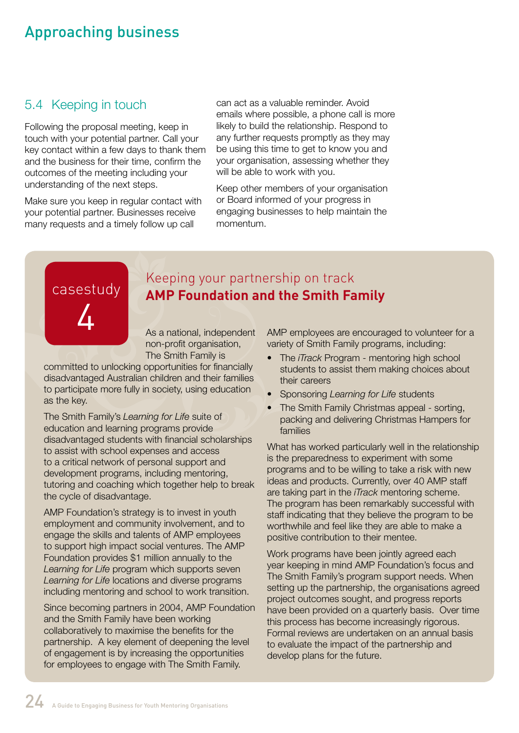# Approaching business

# 5.4 Keeping in touch

Following the proposal meeting, keep in touch with your potential partner. Call your key contact within a few days to thank them and the business for their time, confirm the outcomes of the meeting including your understanding of the next steps.

Make sure you keep in regular contact with your potential partner. Businesses receive many requests and a timely follow up call

can act as a valuable reminder. Avoid emails where possible, a phone call is more likely to build the relationship. Respond to any further requests promptly as they may be using this time to get to know you and your organisation, assessing whether they will be able to work with you.

Keep other members of your organisation or Board informed of your progress in engaging businesses to help maintain the momentum.

# casestudy 4

# Keeping your partnership on track **AMP Foundation and the Smith Family**

As a national, independent non-profit organisation, The Smith Family is

committed to unlocking opportunities for financially disadvantaged Australian children and their families to participate more fully in society, using education as the key.

The Smith Family's *Learning for Life* suite of education and learning programs provide disadvantaged students with financial scholarships to assist with school expenses and access to a critical network of personal support and development programs, including mentoring, tutoring and coaching which together help to break the cycle of disadvantage.

AMP Foundation's strategy is to invest in youth employment and community involvement, and to engage the skills and talents of AMP employees to support high impact social ventures. The AMP Foundation provides \$1 million annually to the *Learning for Life* program which supports seven *Learning for Life* locations and diverse programs including mentoring and school to work transition.

Since becoming partners in 2004, AMP Foundation and the Smith Family have been working collaboratively to maximise the benefits for the partnership. A key element of deepening the level of engagement is by increasing the opportunities for employees to engage with The Smith Family.

AMP employees are encouraged to volunteer for a variety of Smith Family programs, including:

- The *iTrack* Program mentoring high school students to assist them making choices about their careers
- • Sponsoring *Learning for Life* students
- The Smith Family Christmas appeal sorting, packing and delivering Christmas Hampers for families

What has worked particularly well in the relationship is the preparedness to experiment with some programs and to be willing to take a risk with new ideas and products. Currently, over 40 AMP staff are taking part in the *iTrack* mentoring scheme. The program has been remarkably successful with staff indicating that they believe the program to be worthwhile and feel like they are able to make a positive contribution to their mentee.

Work programs have been jointly agreed each year keeping in mind AMP Foundation's focus and The Smith Family's program support needs. When setting up the partnership, the organisations agreed project outcomes sought, and progress reports have been provided on a quarterly basis. Over time this process has become increasingly rigorous. Formal reviews are undertaken on an annual basis to evaluate the impact of the partnership and develop plans for the future.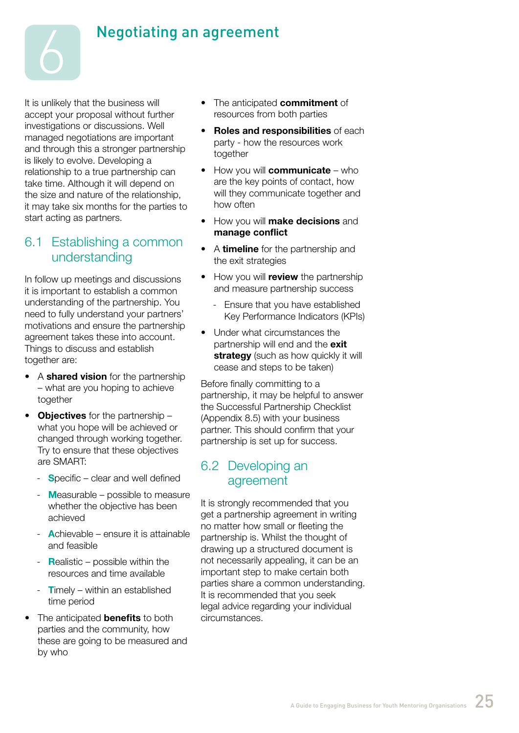

It is unlikely that the business will accept your proposal without further investigations or discussions. Well managed negotiations are important and through this a stronger partnership is likely to evolve. Developing a relationship to a true partnership can take time. Although it will depend on the size and nature of the relationship, it may take six months for the parties to start acting as partners.

6

#### 6.1 Establishing a common understanding

In follow up meetings and discussions it is important to establish a common understanding of the partnership. You need to fully understand your partners' motivations and ensure the partnership agreement takes these into account. Things to discuss and establish together are:

- • A **shared vision** for the partnership – what are you hoping to achieve together
- • **Objectives** for the partnership what you hope will be achieved or changed through working together. Try to ensure that these objectives are SMART:
	- **S**pecific clear and well defined
	- **M**easurable possible to measure whether the objective has been achieved
	- **A**chievable ensure it is attainable and feasible
	- **R**ealistic possible within the resources and time available
	- **Timely within an established** time period
- The anticipated **benefits** to both parties and the community, how these are going to be measured and by who
- • The anticipated **commitment** of resources from both parties
- • **Roles and responsibilities** of each party - how the resources work together
- • How you will **communicate** who are the key points of contact, how will they communicate together and how often
- • How you will **make decisions** and **manage conflict**
- • A **timeline** for the partnership and the exit strategies
- • How you will **review** the partnership and measure partnership success
	- Ensure that you have established Key Performance Indicators (KPIs)
- Under what circumstances the partnership will end and the **exit strategy** (such as how quickly it will cease and steps to be taken)

Before finally committing to a partnership, it may be helpful to answer the Successful Partnership Checklist (Appendix 8.5) with your business partner. This should confirm that your partnership is set up for success.

#### 6.2 Developing an agreement

It is strongly recommended that you get a partnership agreement in writing no matter how small or fleeting the partnership is. Whilst the thought of drawing up a structured document is not necessarily appealing, it can be an important step to make certain both parties share a common understanding. It is recommended that you seek legal advice regarding your individual circumstances.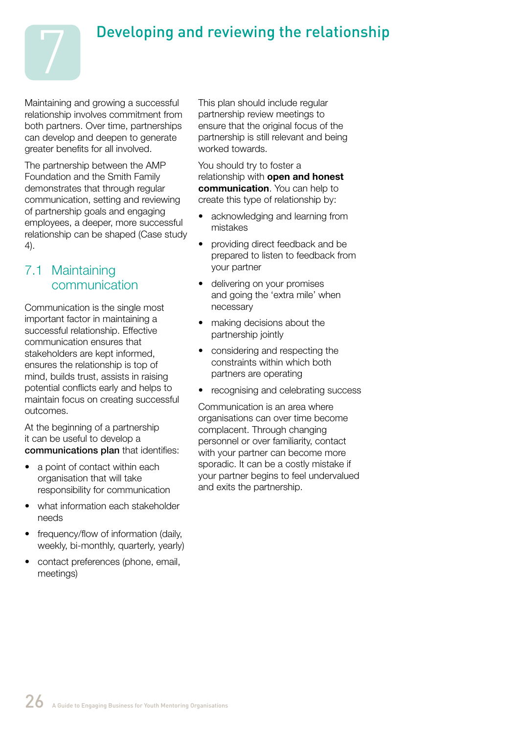



Maintaining and growing a successful relationship involves commitment from both partners. Over time, partnerships can develop and deepen to generate greater benefits for all involved.

The partnership between the AMP Foundation and the Smith Family demonstrates that through regular communication, setting and reviewing of partnership goals and engaging employees, a deeper, more successful relationship can be shaped (Case study 4).

# 7.1 Maintaining communication

Communication is the single most important factor in maintaining a successful relationship. Effective communication ensures that stakeholders are kept informed, ensures the relationship is top of mind, builds trust, assists in raising potential conflicts early and helps to maintain focus on creating successful outcomes.

At the beginning of a partnership it can be useful to develop a communications plan that identifies:

- a point of contact within each organisation that will take responsibility for communication
- what information each stakeholder needs
- frequency/flow of information (daily, weekly, bi-monthly, quarterly, yearly)
- contact preferences (phone, email, meetings)

This plan should include regular partnership review meetings to ensure that the original focus of the partnership is still relevant and being worked towards.

You should try to foster a relationship with **open and honest communication**. You can help to create this type of relationship by:

- acknowledging and learning from mistakes
- providing direct feedback and be prepared to listen to feedback from your partner
- delivering on your promises and going the 'extra mile' when necessary
- making decisions about the partnership jointly
- considering and respecting the constraints within which both partners are operating
- recognising and celebrating success

Communication is an area where organisations can over time become complacent. Through changing personnel or over familiarity, contact with your partner can become more sporadic. It can be a costly mistake if your partner begins to feel undervalued and exits the partnership.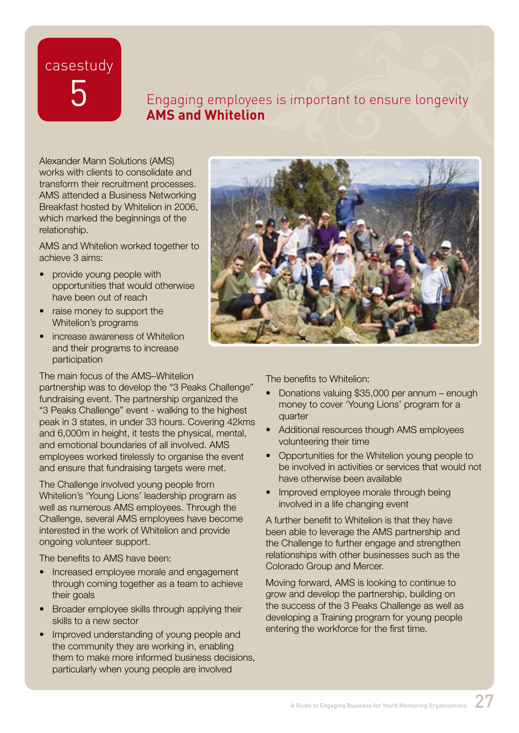casestudy

# 5 Engaging employees is important to ensure longevity **AMS and Whitelion**

Alexander Mann Solutions (AMS) works with clients to consolidate and transform their recruitment processes. AMS attended a Business Networking Breakfast hosted by Whitelion in 2006, which marked the beginnings of the relationship.

AMS and Whitelion worked together to achieve 3 aims:

- provide young people with opportunities that would otherwise have been out of reach
- raise money to support the Whitelion's programs
- increase awareness of Whitelion and their programs to increase participation

The main focus of the AMS–Whitelion

partnership was to develop the "3 Peaks Challenge" fundraising event. The partnership organized the "3 Peaks Challenge" event - walking to the highest peak in 3 states, in under 33 hours. Covering 42kms and 6,000m in height, it tests the physical, mental, and emotional boundaries of all involved. AMS employees worked tirelessly to organise the event and ensure that fundraising targets were met.

The Challenge involved young people from Whitelion's 'Young Lions' leadership program as well as numerous AMS employees. Through the Challenge, several AMS employees have become interested in the work of Whitelion and provide ongoing volunteer support.

The benefits to AMS have been:

- Increased employee morale and engagement through coming together as a team to achieve their goals
- Broader employee skills through applying their skills to a new sector
- Improved understanding of young people and the community they are working in, enabling them to make more informed business decisions, particularly when young people are involved



The benefits to Whitelion:

- Donations valuing \$35,000 per annum enough money to cover 'Young Lions' program for a quarter
- Additional resources though AMS employees volunteering their time
- Opportunities for the Whitelion young people to be involved in activities or services that would not have otherwise been available
- Improved employee morale through being involved in a life changing event

A further benefit to Whitelion is that they have been able to leverage the AMS partnership and the Challenge to further engage and strengthen relationships with other businesses such as the Colorado Group and Mercer.

Moving forward, AMS is looking to continue to grow and develop the partnership, building on the success of the 3 Peaks Challenge as well as developing a Training program for young people entering the workforce for the first time.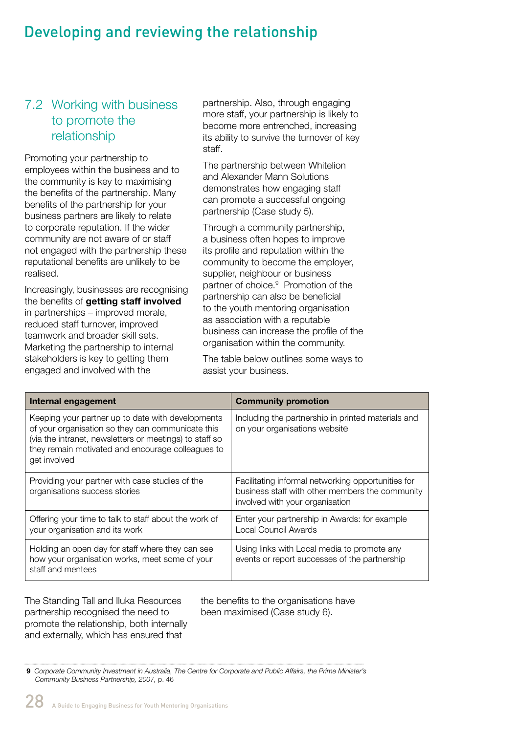# Developing and reviewing the relationship

# 7.2 Working with business to promote the relationship

Promoting your partnership to employees within the business and to the community is key to maximising the benefits of the partnership. Many benefits of the partnership for your business partners are likely to relate to corporate reputation. If the wider community are not aware of or staff not engaged with the partnership these reputational benefits are unlikely to be realised.

Increasingly, businesses are recognising the benefits of **getting staff involved**  in partnerships – improved morale, reduced staff turnover, improved teamwork and broader skill sets. Marketing the partnership to internal stakeholders is key to getting them engaged and involved with the

partnership. Also, through engaging more staff, your partnership is likely to become more entrenched, increasing its ability to survive the turnover of key staff.

The partnership between Whitelion and Alexander Mann Solutions demonstrates how engaging staff can promote a successful ongoing partnership (Case study 5).

Through a community partnership, a business often hopes to improve its profile and reputation within the community to become the employer, supplier, neighbour or business partner of choice.<sup>9</sup> Promotion of the partnership can also be beneficial to the youth mentoring organisation as association with a reputable business can increase the profile of the organisation within the community.

The table below outlines some ways to assist your business.

| Internal engagement                                                                                                                                                                                                                    | <b>Community promotion</b>                                                                                                               |
|----------------------------------------------------------------------------------------------------------------------------------------------------------------------------------------------------------------------------------------|------------------------------------------------------------------------------------------------------------------------------------------|
| Keeping your partner up to date with developments<br>of your organisation so they can communicate this<br>(via the intranet, newsletters or meetings) to staff so<br>they remain motivated and encourage colleagues to<br>get involved | Including the partnership in printed materials and<br>on your organisations website                                                      |
| Providing your partner with case studies of the<br>organisations success stories                                                                                                                                                       | Facilitating informal networking opportunities for<br>business staff with other members the community<br>involved with your organisation |
| Offering your time to talk to staff about the work of<br>your organisation and its work                                                                                                                                                | Enter your partnership in Awards: for example<br>Local Council Awards                                                                    |
| Holding an open day for staff where they can see<br>how your organisation works, meet some of your<br>staff and mentees                                                                                                                | Using links with Local media to promote any<br>events or report successes of the partnership                                             |

The Standing Tall and Iluka Resources partnership recognised the need to promote the relationship, both internally and externally, which has ensured that

the benefits to the organisations have been maximised (Case study 6).

 **9** *Corporate Community Investment in Australia, The Centre for Corporate and Public Affairs, the Prime Minister's Community Business Partnership, 2007,* p. 46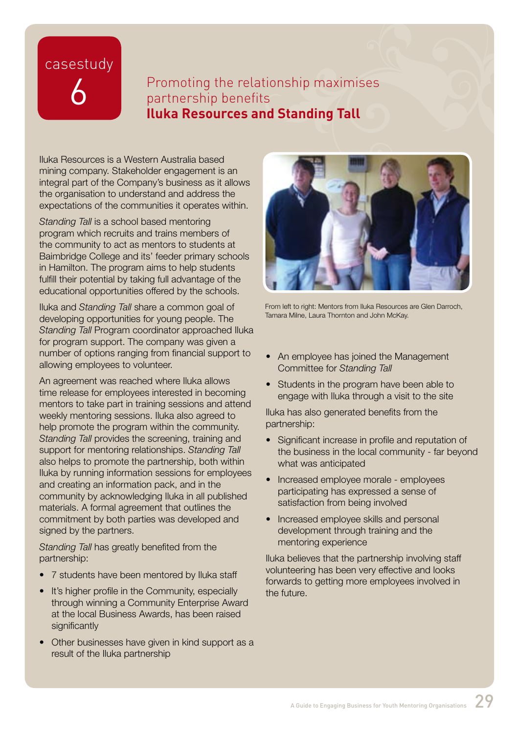# casestudy

# Promoting the relationship maximises partnership benefits **Iluka Resources and Standing Tall**

Iluka Resources is a Western Australia based mining company. Stakeholder engagement is an integral part of the Company's business as it allows the organisation to understand and address the expectations of the communities it operates within.

*Standing Tall* is a school based mentoring program which recruits and trains members of the community to act as mentors to students at Baimbridge College and its' feeder primary schools in Hamilton. The program aims to help students fulfill their potential by taking full advantage of the educational opportunities offered by the schools.

Iluka and *Standing Tall* share a common goal of developing opportunities for young people. The *Standing Tall* Program coordinator approached Iluka for program support. The company was given a number of options ranging from financial support to allowing employees to volunteer.

An agreement was reached where Iluka allows time release for employees interested in becoming mentors to take part in training sessions and attend weekly mentoring sessions. Iluka also agreed to help promote the program within the community. *Standing Tall* provides the screening, training and support for mentoring relationships. *Standing Tall*  also helps to promote the partnership, both within Iluka by running information sessions for employees and creating an information pack, and in the community by acknowledging Iluka in all published materials. A formal agreement that outlines the commitment by both parties was developed and signed by the partners.

*Standing Tall* has greatly benefited from the partnership:

- 7 students have been mentored by Iluka staff
- It's higher profile in the Community, especially through winning a Community Enterprise Award at the local Business Awards, has been raised significantly
- Other businesses have given in kind support as a result of the Iluka partnership



From left to right: Mentors from Iluka Resources are Glen Darroch, Tamara Milne, Laura Thornton and John McKay.

- An employee has joined the Management Committee for *Standing Tall*
- Students in the program have been able to engage with Iluka through a visit to the site

Iluka has also generated benefits from the partnership:

- Significant increase in profile and reputation of the business in the local community - far beyond what was anticipated
- Increased employee morale employees participating has expressed a sense of satisfaction from being involved
- Increased employee skills and personal development through training and the mentoring experience

Iluka believes that the partnership involving staff volunteering has been very effective and looks forwards to getting more employees involved in the future.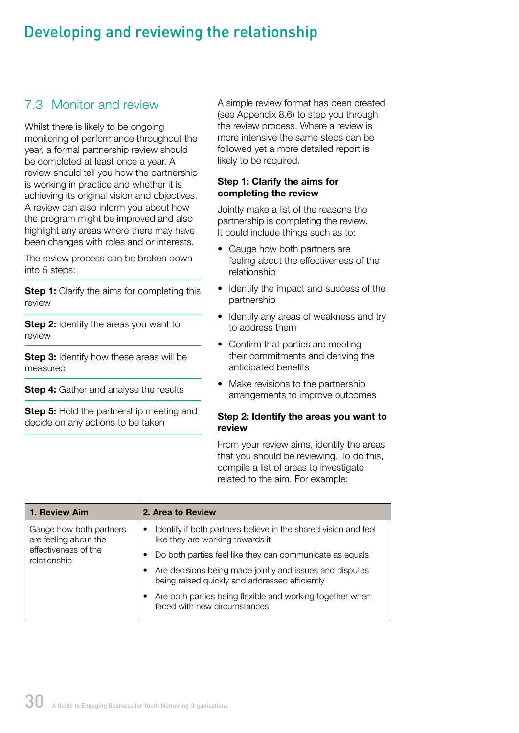# Developing and reviewing the relationship

# 7.3 Monitor and review

Whilst there is likely to be ongoing monitoring of performance throughout the year, a formal partnership review should be completed at least once a year. A review should tell you how the partnership is working in practice and whether it is achieving its original vision and objectives. A review can also inform you about how the program might be improved and also highlight any areas where there may have been changes with roles and or interests.

The review process can be broken down into 5 steps:

**Step 1:** Clarify the aims for completing this review

**Step 2:** Identify the areas you want to review

**Step 3:** Identify how these areas will be measured

**Step 4:** Gather and analyse the results

**Step 5:** Hold the partnership meeting and decide on any actions to be taken

A simple review format has been created (see Appendix 8.6) to step you through the review process. Where a review is more intensive the same steps can be followed yet a more detailed report is likely to be required.

#### **Step 1: Clarify the aims for completing the review**

Jointly make a list of the reasons the partnership is completing the review. It could include things such as to:

- Gauge how both partners are feeling about the effectiveness of the relationship
- Identify the impact and success of the partnership
- Identify any areas of weakness and try to address them
- Confirm that parties are meeting their commitments and deriving the anticipated benefits
- Make revisions to the partnership arrangements to improve outcomes

#### **Step 2: Identify the areas you want to review**

From your review aims, identify the areas that you should be reviewing. To do this, compile a list of areas to investigate related to the aim. For example:

| 1. Review Aim                                    | 2. Area to Review                                                                                                |
|--------------------------------------------------|------------------------------------------------------------------------------------------------------------------|
| Gauge how both partners<br>are feeling about the | Identify if both partners believe in the shared vision and feel<br>$\bullet$<br>like they are working towards it |
| effectiveness of the<br>relationship             | Do both parties feel like they can communicate as equals                                                         |
|                                                  | Are decisions being made jointly and issues and disputes<br>being raised quickly and addressed efficiently       |
|                                                  | Are both parties being flexible and working together when<br>faced with new circumstances                        |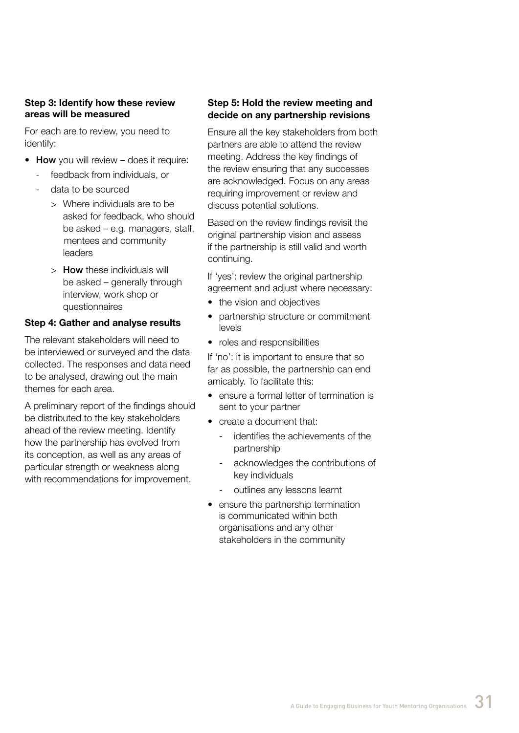#### **Step 3: Identify how these review areas will be measured**

For each are to review, you need to identify:

- How you will review does it require:
	- feedback from individuals, or
	- data to be sourced
		- > Where individuals are to be asked for feedback, who should be asked – e.g. managers, staff, mentees and community leaders
		- > How these individuals will be asked – generally through interview, work shop or questionnaires

#### **Step 4: Gather and analyse results**

The relevant stakeholders will need to be interviewed or surveyed and the data collected. The responses and data need to be analysed, drawing out the main themes for each area.

A preliminary report of the findings should be distributed to the key stakeholders ahead of the review meeting. Identify how the partnership has evolved from its conception, as well as any areas of particular strength or weakness along with recommendations for improvement.

#### **Step 5: Hold the review meeting and decide on any partnership revisions**

Ensure all the key stakeholders from both partners are able to attend the review meeting. Address the key findings of the review ensuring that any successes are acknowledged. Focus on any areas requiring improvement or review and discuss potential solutions.

Based on the review findings revisit the original partnership vision and assess if the partnership is still valid and worth continuing.

If 'yes': review the original partnership agreement and adjust where necessary:

- the vision and objectives
- partnership structure or commitment levels
- roles and responsibilities

If 'no': it is important to ensure that so far as possible, the partnership can end amicably. To facilitate this:

- ensure a formal letter of termination is sent to your partner
- create a document that:
	- identifies the achievements of the partnership
	- acknowledges the contributions of key individuals
	- outlines any lessons learnt
- ensure the partnership termination is communicated within both organisations and any other stakeholders in the community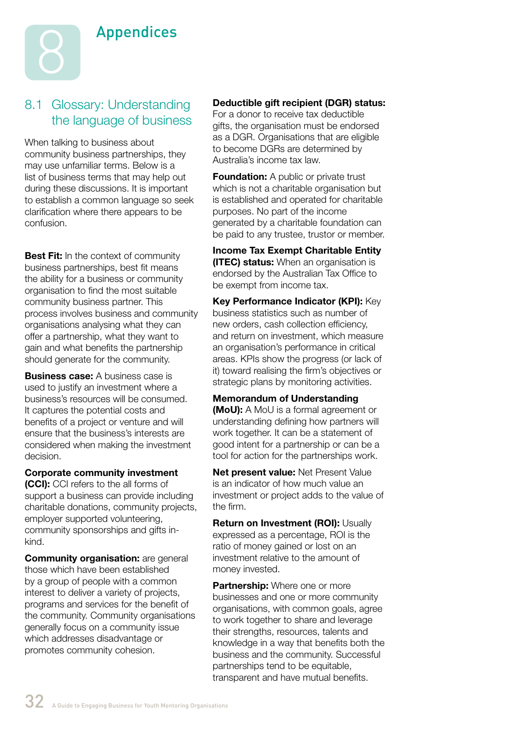

# 8.1 Glossary: Understanding the language of business

When talking to business about community business partnerships, they may use unfamiliar terms. Below is a list of business terms that may help out during these discussions. It is important to establish a common language so seek clarification where there appears to be confusion.

**Best Fit:** In the context of community business partnerships, best fit means the ability for a business or community organisation to find the most suitable community business partner. This process involves business and community organisations analysing what they can offer a partnership, what they want to gain and what benefits the partnership should generate for the community.

**Business case:** A business case is used to justify an investment where a business's resources will be consumed. It captures the potential costs and benefits of a project or venture and will ensure that the business's interests are considered when making the investment decision.

**Corporate community investment (CCI):** CCI refers to the all forms of support a business can provide including charitable donations, community projects, employer supported volunteering, community sponsorships and gifts inkind.

**Community organisation:** are general those which have been established by a group of people with a common interest to deliver a variety of projects, programs and services for the benefit of the community. Community organisations generally focus on a community issue which addresses disadvantage or promotes community cohesion.

#### **Deductible gift recipient (DGR) status:**

For a donor to receive tax deductible gifts, the organisation must be endorsed as a DGR. Organisations that are eligible to become DGRs are determined by Australia's income tax law.

**Foundation:** A public or private trust which is not a charitable organisation but is established and operated for charitable purposes. No part of the income generated by a charitable foundation can be paid to any trustee, trustor or member.

**Income Tax Exempt Charitable Entity (ITEC) status:** When an organisation is endorsed by the Australian Tax Office to be exempt from income tax.

**Key Performance Indicator (KPI):** Key business statistics such as number of new orders, cash collection efficiency, and return on investment, which measure an organisation's performance in critical areas. KPIs show the progress (or lack of it) toward realising the firm's objectives or strategic plans by monitoring activities.

**Memorandum of Understanding (MoU):** A MoU is a formal agreement or understanding defining how partners will work together. It can be a statement of good intent for a partnership or can be a tool for action for the partnerships work.

**Net present value:** Net Present Value is an indicator of how much value an investment or project adds to the value of the firm.

**Return on Investment (ROI):** Usually expressed as a percentage, ROI is the ratio of money gained or lost on an investment relative to the amount of money invested.

**Partnership:** Where one or more businesses and one or more community organisations, with common goals, agree to work together to share and leverage their strengths, resources, talents and knowledge in a way that benefits both the business and the community. Successful partnerships tend to be equitable, transparent and have mutual benefits.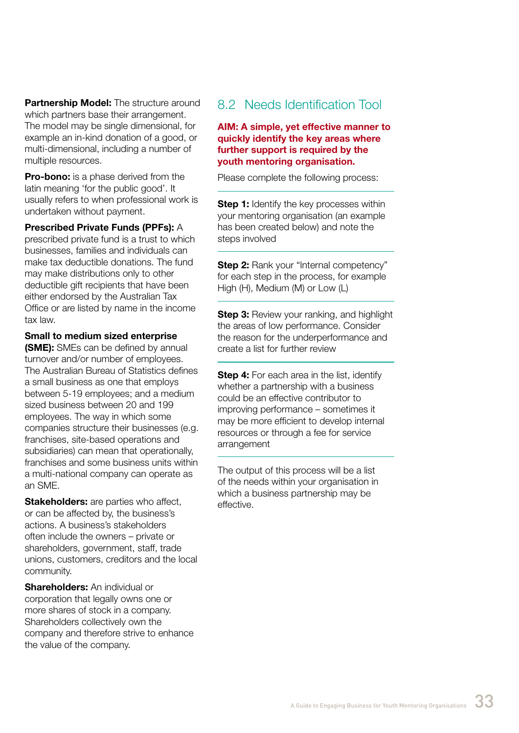**Partnership Model:** The structure around which partners base their arrangement. The model may be single dimensional, for example an in-kind donation of a good, or multi-dimensional, including a number of multiple resources.

**Pro-bono:** is a phase derived from the latin meaning 'for the public good'. It usually refers to when professional work is undertaken without payment.

#### **Prescribed Private Funds (PPFs):** A

prescribed private fund is a trust to which businesses, families and individuals can make tax deductible donations. The fund may make distributions only to other deductible gift recipients that have been either endorsed by the Australian Tax Office or are listed by name in the income tax law.

#### **Small to medium sized enterprise**

**(SME):** SMEs can be defined by annual turnover and/or number of employees. The Australian Bureau of Statistics defines a small business as one that employs between 5-19 employees; and a medium sized business between 20 and 199 employees. The way in which some companies structure their businesses (e.g. franchises, site-based operations and subsidiaries) can mean that operationally, franchises and some business units within a multi-national company can operate as an SME.

**Stakeholders:** are parties who affect, or can be affected by, the business's actions. A business's stakeholders often include the owners – private or shareholders, government, staff, trade unions, customers, creditors and the local community.

**Shareholders:** An individual or corporation that legally owns one or more shares of stock in a company. Shareholders collectively own the company and therefore strive to enhance the value of the company.

#### 8.2 Needs Identification Tool

#### **AIM: A simple, yet effective manner to quickly identify the key areas where further support is required by the youth mentoring organisation.**

Please complete the following process:

**Step 1:** Identify the key processes within your mentoring organisation (an example has been created below) and note the steps involved

**Step 2: Rank your "Internal competency"** for each step in the process, for example High (H), Medium (M) or Low (L)

**Step 3:** Review your ranking, and highlight the areas of low performance. Consider the reason for the underperformance and create a list for further review

**Step 4:** For each area in the list, identify whether a partnership with a business could be an effective contributor to improving performance – sometimes it may be more efficient to develop internal resources or through a fee for service arrangement

The output of this process will be a list of the needs within your organisation in which a business partnership may be effective.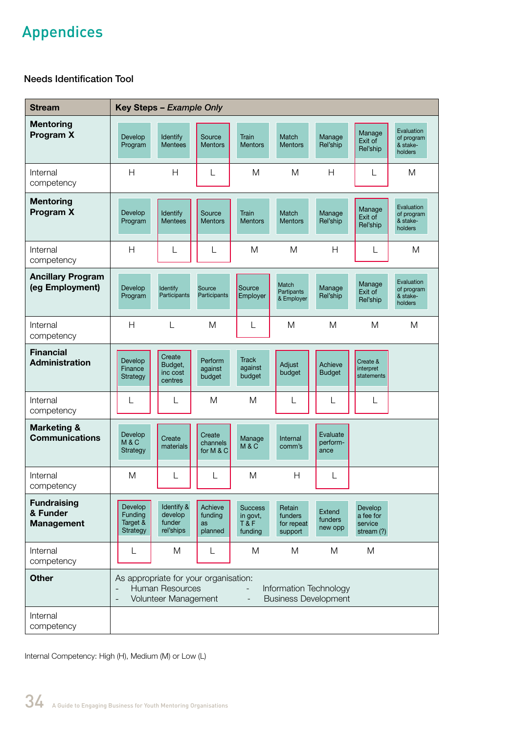# Appendices

#### Needs Identification Tool

| <b>Stream</b>                                       | Key Steps - Example Only                                                                                                                                                                          |                                              |                                     |                                              |                                            |                                     |                                                 |                                                 |
|-----------------------------------------------------|---------------------------------------------------------------------------------------------------------------------------------------------------------------------------------------------------|----------------------------------------------|-------------------------------------|----------------------------------------------|--------------------------------------------|-------------------------------------|-------------------------------------------------|-------------------------------------------------|
| <b>Mentoring</b><br>Program X                       | Develop<br>Program                                                                                                                                                                                | Identify<br><b>Mentees</b>                   | Source<br><b>Mentors</b>            | Train<br><b>Mentors</b>                      | Match<br><b>Mentors</b>                    | Manage<br>Rel'ship                  | Manage<br>Exit of<br>Rel'ship                   | Evaluation<br>of program<br>& stake-<br>holders |
| Internal<br>competency                              | H                                                                                                                                                                                                 | H                                            | L                                   | M                                            | M                                          | H                                   | L                                               | M                                               |
| <b>Mentoring</b><br>Program X                       | Develop<br>Program                                                                                                                                                                                | Identify<br><b>Mentees</b>                   | Source<br><b>Mentors</b>            | Train<br><b>Mentors</b>                      | Match<br><b>Mentors</b>                    | Manage<br>Rel'ship                  | Manage<br>Exit of<br>Rel'ship                   | Evaluation<br>of program<br>& stake-<br>holders |
| Internal<br>competency                              | H                                                                                                                                                                                                 | L                                            | L                                   | M                                            | M                                          | H                                   | L                                               | M                                               |
| <b>Ancillary Program</b><br>(eg Employment)         | Develop<br>Program                                                                                                                                                                                | Identify<br>Participants                     | Source<br>Participants              | Source<br>Employer                           | Match<br>Partipants<br>& Employer          | Manage<br>Rel'ship                  | Manage<br>Exit of<br>Rel'ship                   | Evaluation<br>of program<br>& stake-<br>holders |
| Internal<br>competency                              | H                                                                                                                                                                                                 | L                                            | M                                   | L                                            | M                                          | M                                   | M                                               | M                                               |
| <b>Financial</b><br><b>Administration</b>           | Develop<br>Finance<br>Strategy                                                                                                                                                                    | Create<br>Budget,<br>inc cost<br>centres     | Perform<br>against<br>budget        | <b>Track</b><br>against<br>budget            | Adjust<br>budget                           | Achieve<br><b>Budget</b>            | Create &<br>interpret<br>statements             |                                                 |
| Internal<br>competency                              | L                                                                                                                                                                                                 | L                                            | M                                   | M                                            | L                                          | L                                   | L                                               |                                                 |
| <b>Marketing &amp;</b><br><b>Communications</b>     | Develop<br>M&C<br>Strategy                                                                                                                                                                        | Create<br>materials                          | Create<br>channels<br>for M & C     | Manage<br>M & C                              | Internal<br>comm's                         | Evaluate<br>perform-<br>ance        |                                                 |                                                 |
| Internal<br>competency                              | M                                                                                                                                                                                                 | L                                            | L                                   | M                                            | H                                          | L                                   |                                                 |                                                 |
| <b>Fundraising</b><br>& Funder<br><b>Management</b> | Develop<br>Funding<br>Target &<br>Strategy                                                                                                                                                        | Identify &<br>develop<br>funder<br>rel'ships | Achieve<br>funding<br>as<br>planned | <b>Success</b><br>in govt,<br>T&F<br>funding | Retain<br>funders<br>for repeat<br>support | <b>Extend</b><br>funders<br>new opp | Develop<br>a fee for<br>service<br>stream $(?)$ |                                                 |
| Internal<br>competency                              | L                                                                                                                                                                                                 | M                                            | L                                   | M                                            | M                                          | M                                   | M                                               |                                                 |
| <b>Other</b>                                        | As appropriate for your organisation:<br><b>Human Resources</b><br>Information Technology<br>Volunteer Management<br><b>Business Development</b><br>$\qquad \qquad -$<br>$\overline{\phantom{a}}$ |                                              |                                     |                                              |                                            |                                     |                                                 |                                                 |
| Internal<br>competency                              |                                                                                                                                                                                                   |                                              |                                     |                                              |                                            |                                     |                                                 |                                                 |

Internal Competency: High (H), Medium (M) or Low (L)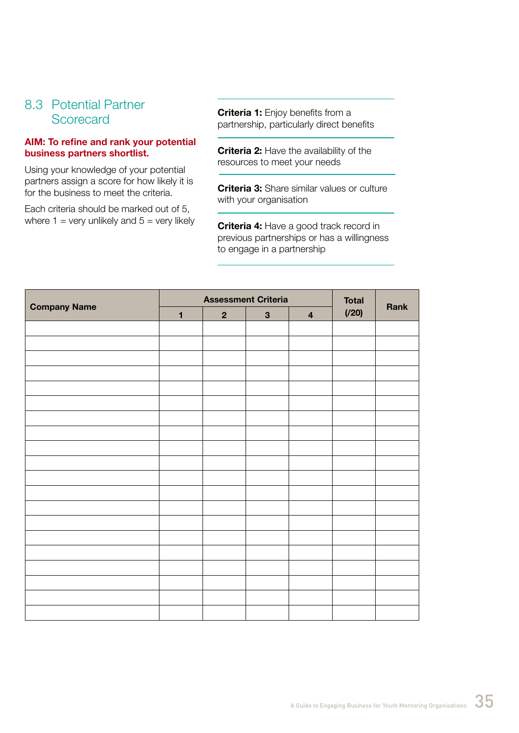#### 8.3 Potential Partner Scorecard

#### **AIM: To refine and rank your potential business partners shortlist.**

Using your knowledge of your potential partners assign a score for how likely it is for the business to meet the criteria.

Each criteria should be marked out of 5, where  $1 =$  very unlikely and  $5 =$  very likely **Criteria 1:** Enjoy benefits from a partnership, particularly direct benefits

**Criteria 2:** Have the availability of the resources to meet your needs

**Criteria 3:** Share similar values or culture with your organisation

**Criteria 4:** Have a good track record in previous partnerships or has a willingness to engage in a partnership

|                     |              | <b>Assessment Criteria</b> |              |                         | <b>Total</b> |      |
|---------------------|--------------|----------------------------|--------------|-------------------------|--------------|------|
| <b>Company Name</b> | $\mathbf{1}$ | $\overline{2}$             | $\mathbf{3}$ | $\overline{\mathbf{4}}$ | (720)        | Rank |
|                     |              |                            |              |                         |              |      |
|                     |              |                            |              |                         |              |      |
|                     |              |                            |              |                         |              |      |
|                     |              |                            |              |                         |              |      |
|                     |              |                            |              |                         |              |      |
|                     |              |                            |              |                         |              |      |
|                     |              |                            |              |                         |              |      |
|                     |              |                            |              |                         |              |      |
|                     |              |                            |              |                         |              |      |
|                     |              |                            |              |                         |              |      |
|                     |              |                            |              |                         |              |      |
|                     |              |                            |              |                         |              |      |
|                     |              |                            |              |                         |              |      |
|                     |              |                            |              |                         |              |      |
|                     |              |                            |              |                         |              |      |
|                     |              |                            |              |                         |              |      |
|                     |              |                            |              |                         |              |      |
|                     |              |                            |              |                         |              |      |
|                     |              |                            |              |                         |              |      |
|                     |              |                            |              |                         |              |      |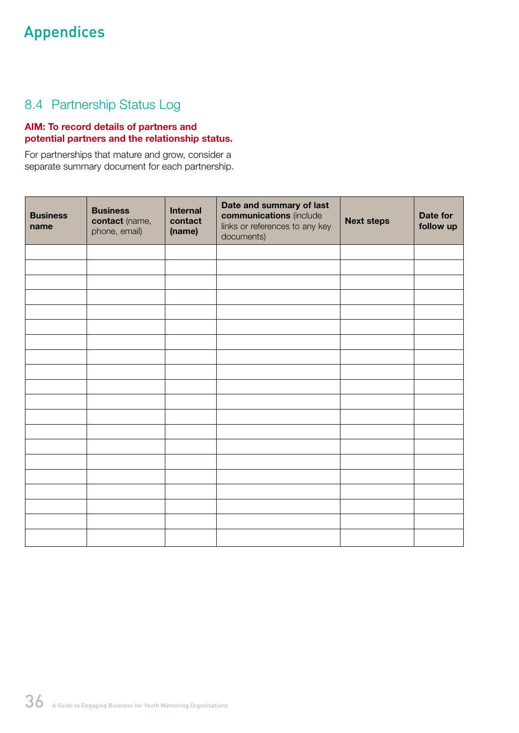# Appendices

# 8.4 Partnership Status Log

#### **AIM: To record details of partners and potential partners and the relationship status.**

For partnerships that mature and grow, consider a separate summary document for each partnership.

| <b>Business</b><br>name | <b>Business</b><br>contact (name,<br>phone, email) | <b>Internal</b><br>contact<br>(name) | Date and summary of last<br>communications (include<br>links or references to any key<br>documents) | <b>Next steps</b> | Date for<br>follow up |
|-------------------------|----------------------------------------------------|--------------------------------------|-----------------------------------------------------------------------------------------------------|-------------------|-----------------------|
|                         |                                                    |                                      |                                                                                                     |                   |                       |
|                         |                                                    |                                      |                                                                                                     |                   |                       |
|                         |                                                    |                                      |                                                                                                     |                   |                       |
|                         |                                                    |                                      |                                                                                                     |                   |                       |
|                         |                                                    |                                      |                                                                                                     |                   |                       |
|                         |                                                    |                                      |                                                                                                     |                   |                       |
|                         |                                                    |                                      |                                                                                                     |                   |                       |
|                         |                                                    |                                      |                                                                                                     |                   |                       |
|                         |                                                    |                                      |                                                                                                     |                   |                       |
|                         |                                                    |                                      |                                                                                                     |                   |                       |
|                         |                                                    |                                      |                                                                                                     |                   |                       |
|                         |                                                    |                                      |                                                                                                     |                   |                       |
|                         |                                                    |                                      |                                                                                                     |                   |                       |
|                         |                                                    |                                      |                                                                                                     |                   |                       |
|                         |                                                    |                                      |                                                                                                     |                   |                       |
|                         |                                                    |                                      |                                                                                                     |                   |                       |
|                         |                                                    |                                      |                                                                                                     |                   |                       |
|                         |                                                    |                                      |                                                                                                     |                   |                       |
|                         |                                                    |                                      |                                                                                                     |                   |                       |
|                         |                                                    |                                      |                                                                                                     |                   |                       |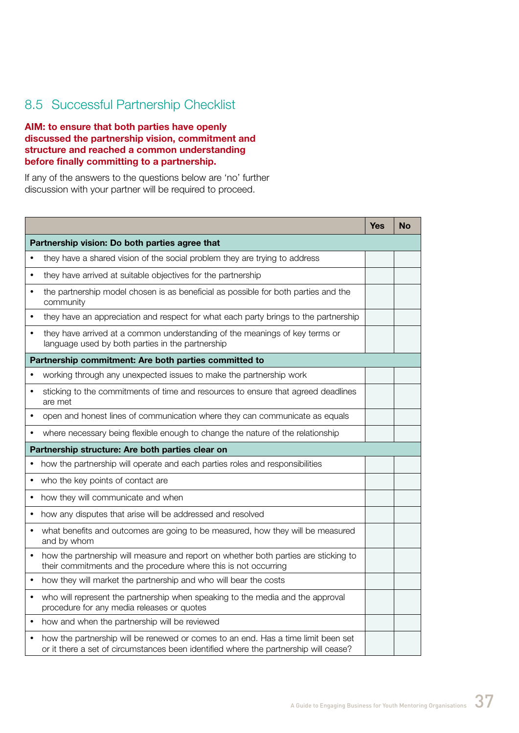# 8.5 Successful Partnership Checklist

#### **AIM: to ensure that both parties have openly discussed the partnership vision, commitment and structure and reached a common understanding before finally committing to a partnership.**

If any of the answers to the questions below are 'no' further discussion with your partner will be required to proceed.

|           |                                                                                                                                                                           | <b>Yes</b> | No |
|-----------|---------------------------------------------------------------------------------------------------------------------------------------------------------------------------|------------|----|
|           | Partnership vision: Do both parties agree that                                                                                                                            |            |    |
|           | they have a shared vision of the social problem they are trying to address                                                                                                |            |    |
|           | they have arrived at suitable objectives for the partnership                                                                                                              |            |    |
| $\bullet$ | the partnership model chosen is as beneficial as possible for both parties and the<br>community                                                                           |            |    |
|           | they have an appreciation and respect for what each party brings to the partnership                                                                                       |            |    |
| ٠         | they have arrived at a common understanding of the meanings of key terms or<br>language used by both parties in the partnership                                           |            |    |
|           | Partnership commitment: Are both parties committed to                                                                                                                     |            |    |
|           | working through any unexpected issues to make the partnership work                                                                                                        |            |    |
|           | sticking to the commitments of time and resources to ensure that agreed deadlines<br>are met                                                                              |            |    |
|           | open and honest lines of communication where they can communicate as equals                                                                                               |            |    |
|           | where necessary being flexible enough to change the nature of the relationship                                                                                            |            |    |
|           | Partnership structure: Are both parties clear on                                                                                                                          |            |    |
| ٠         | how the partnership will operate and each parties roles and responsibilities                                                                                              |            |    |
|           | who the key points of contact are                                                                                                                                         |            |    |
|           | how they will communicate and when                                                                                                                                        |            |    |
|           | how any disputes that arise will be addressed and resolved                                                                                                                |            |    |
|           | what benefits and outcomes are going to be measured, how they will be measured<br>and by whom                                                                             |            |    |
|           | how the partnership will measure and report on whether both parties are sticking to<br>their commitments and the procedure where this is not occurring                    |            |    |
|           | how they will market the partnership and who will bear the costs                                                                                                          |            |    |
|           | who will represent the partnership when speaking to the media and the approval<br>procedure for any media releases or quotes                                              |            |    |
|           | how and when the partnership will be reviewed                                                                                                                             |            |    |
|           | how the partnership will be renewed or comes to an end. Has a time limit been set<br>or it there a set of circumstances been identified where the partnership will cease? |            |    |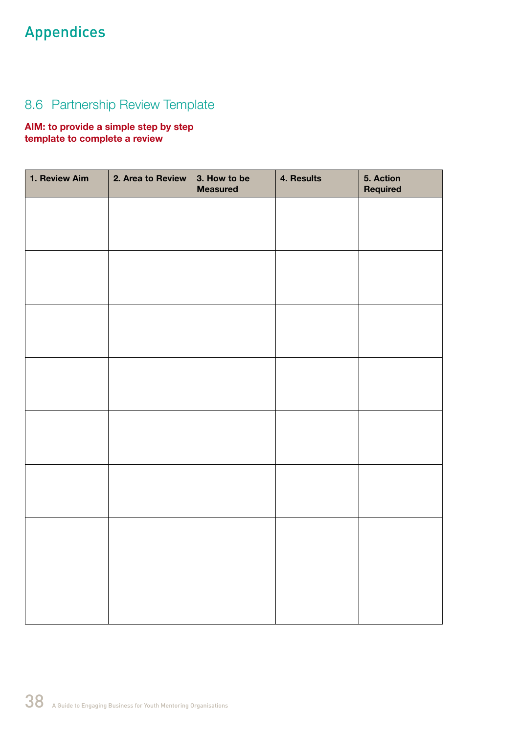# Appendices

# 8.6 Partnership Review Template

#### **AIM: to provide a simple step by step template to complete a review**

| 1. Review Aim | 2. Area to Review | 3. How to be<br><b>Measured</b> | 4. Results | 5. Action<br>Required |
|---------------|-------------------|---------------------------------|------------|-----------------------|
|               |                   |                                 |            |                       |
|               |                   |                                 |            |                       |
|               |                   |                                 |            |                       |
|               |                   |                                 |            |                       |
|               |                   |                                 |            |                       |
|               |                   |                                 |            |                       |
|               |                   |                                 |            |                       |
|               |                   |                                 |            |                       |
|               |                   |                                 |            |                       |
|               |                   |                                 |            |                       |
|               |                   |                                 |            |                       |
|               |                   |                                 |            |                       |
|               |                   |                                 |            |                       |
|               |                   |                                 |            |                       |
|               |                   |                                 |            |                       |
|               |                   |                                 |            |                       |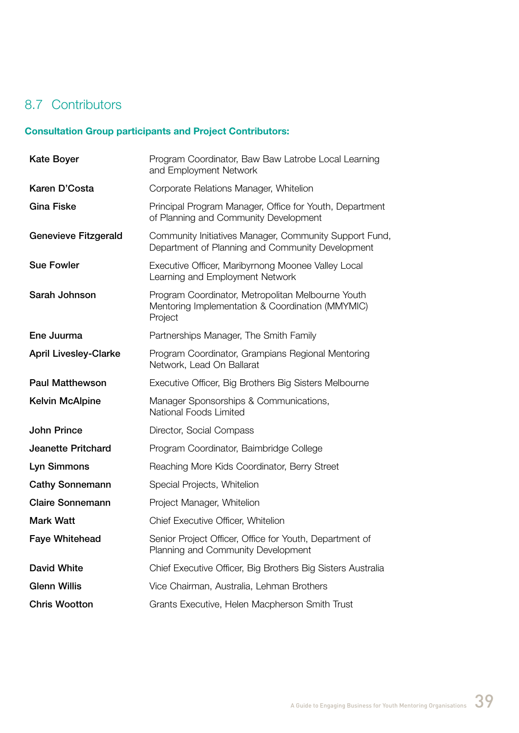# 8.7 Contributors

# **Consultation Group participants and Project Contributors:**

| <b>Kate Boyer</b>            | Program Coordinator, Baw Baw Latrobe Local Learning<br>and Employment Network                                    |
|------------------------------|------------------------------------------------------------------------------------------------------------------|
| Karen D'Costa                | Corporate Relations Manager, Whitelion                                                                           |
| <b>Gina Fiske</b>            | Principal Program Manager, Office for Youth, Department<br>of Planning and Community Development                 |
| <b>Genevieve Fitzgerald</b>  | Community Initiatives Manager, Community Support Fund,<br>Department of Planning and Community Development       |
| <b>Sue Fowler</b>            | Executive Officer, Maribyrnong Moonee Valley Local<br>Learning and Employment Network                            |
| Sarah Johnson                | Program Coordinator, Metropolitan Melbourne Youth<br>Mentoring Implementation & Coordination (MMYMIC)<br>Project |
| Ene Juurma                   | Partnerships Manager, The Smith Family                                                                           |
| <b>April Livesley-Clarke</b> | Program Coordinator, Grampians Regional Mentoring<br>Network, Lead On Ballarat                                   |
| <b>Paul Matthewson</b>       | Executive Officer, Big Brothers Big Sisters Melbourne                                                            |
| <b>Kelvin McAlpine</b>       | Manager Sponsorships & Communications,<br>National Foods Limited                                                 |
| <b>John Prince</b>           | Director, Social Compass                                                                                         |
| <b>Jeanette Pritchard</b>    | Program Coordinator, Baimbridge College                                                                          |
| Lyn Simmons                  | Reaching More Kids Coordinator, Berry Street                                                                     |
| <b>Cathy Sonnemann</b>       | Special Projects, Whitelion                                                                                      |
| <b>Claire Sonnemann</b>      | Project Manager, Whitelion                                                                                       |
| <b>Mark Watt</b>             | Chief Executive Officer, Whitelion                                                                               |
| <b>Faye Whitehead</b>        | Senior Project Officer, Office for Youth, Department of<br>Planning and Community Development                    |
| <b>David White</b>           | Chief Executive Officer, Big Brothers Big Sisters Australia                                                      |
| <b>Glenn Willis</b>          | Vice Chairman, Australia, Lehman Brothers                                                                        |
| <b>Chris Wootton</b>         | Grants Executive, Helen Macpherson Smith Trust                                                                   |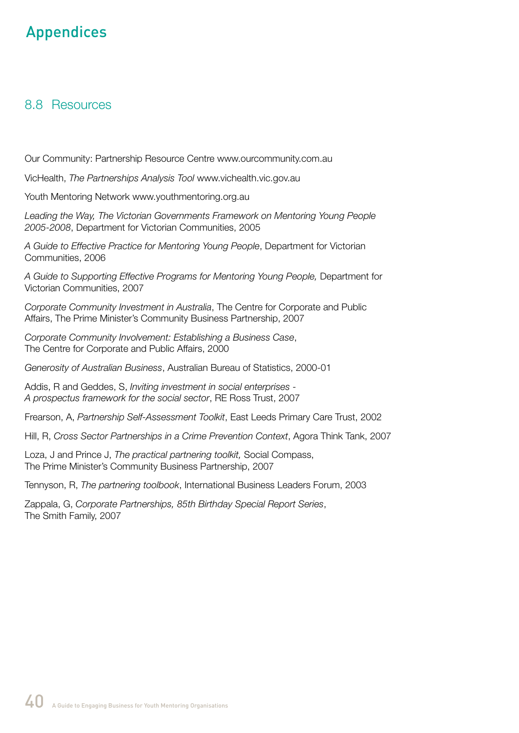# Appendices

#### 8.8 Resources

Our Community: Partnership Resource Centre www.ourcommunity.com.au

VicHealth, *The Partnerships Analysis Tool* www.vichealth.vic.gov.au

Youth Mentoring Network www.youthmentoring.org.au

Leading the Way, The Victorian Governments Framework on Mentoring Young People *2005-2008*, Department for Victorian Communities, 2005

*A Guide to Effective Practice for Mentoring Young People*, Department for Victorian Communities, 2006

A Guide to Supporting Effective Programs for Mentoring Young People, Department for Victorian Communities, 2007

*Corporate Community Investment in Australia*, The Centre for Corporate and Public Affairs, The Prime Minister's Community Business Partnership, 2007

*Corporate Community Involvement: Establishing a Business Case*, The Centre for Corporate and Public Affairs, 2000

*Generosity of Australian Business*, Australian Bureau of Statistics, 2000-01

Addis, R and Geddes, S, *Inviting investment in social enterprises - A prospectus framework for the social sector*, RE Ross Trust, 2007

Frearson, A, *Partnership Self-Assessment Toolkit*, East Leeds Primary Care Trust, 2002

Hill, R, *Cross Sector Partnerships in a Crime Prevention Context*, Agora Think Tank, 2007

Loza, J and Prince J, *The practical partnering toolkit,* Social Compass, The Prime Minister's Community Business Partnership, 2007

Tennyson, R, *The partnering toolbook*, International Business Leaders Forum, 2003

Zappala, G, *Corporate Partnerships, 85th Birthday Special Report Series*, The Smith Family, 2007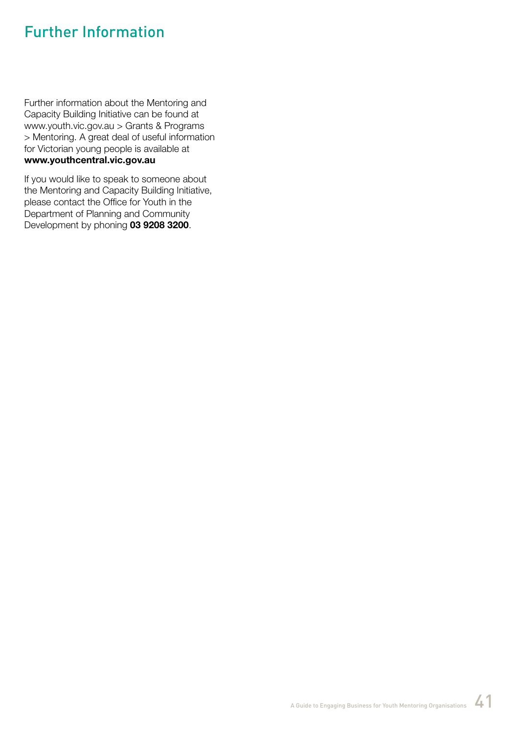# Further Information

Further information about the Mentoring and Capacity Building Initiative can be found at www.youth.vic.gov.au > Grants & Programs > Mentoring. A great deal of useful information for Victorian young people is available at **www.youthcentral.vic.gov.au**

If you would like to speak to someone about the Mentoring and Capacity Building Initiative, please contact the Office for Youth in the Department of Planning and Community Development by phoning **03 9208 3200**.